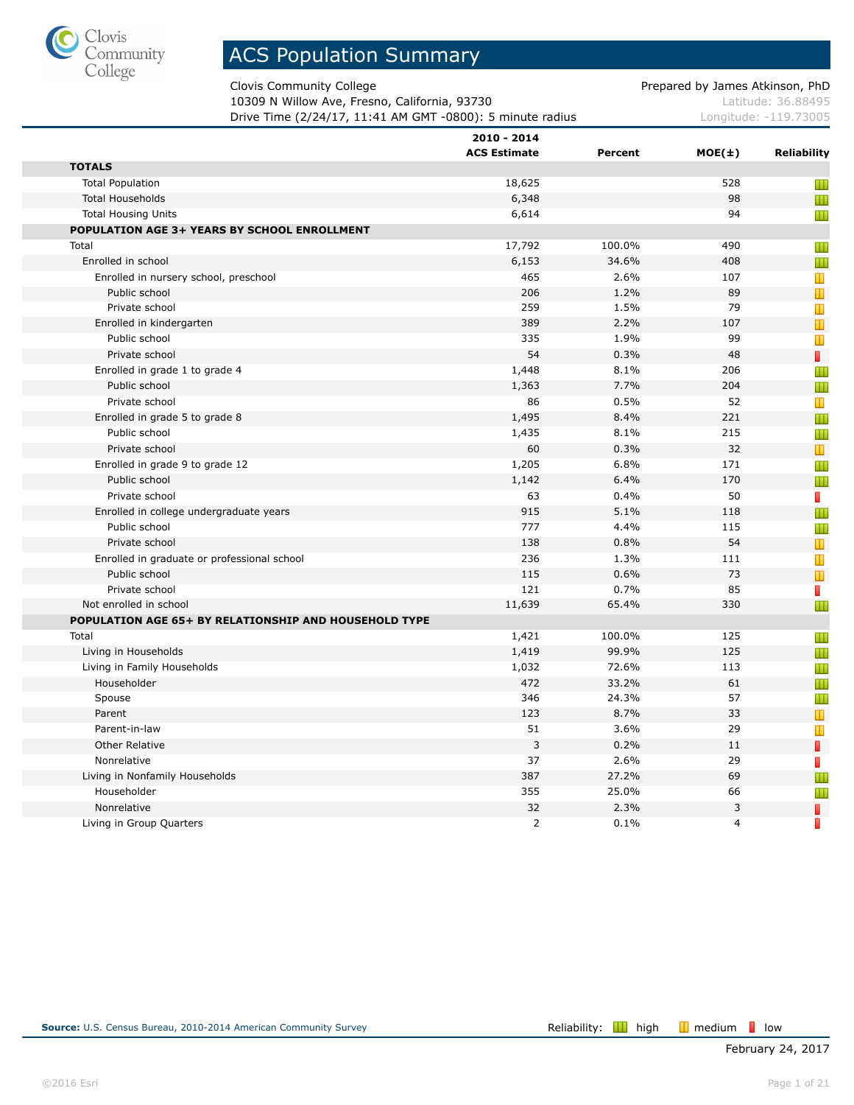

Clovis Community College **Prepared by James Atkinson, PhD** 

10309 N Willow Ave, Fresno, California, 93730 Material Control 2010 Matte 26.88495 **Drive Time (2/24/17, 11:41 AM GMT -0800): 5 minute radius** Longitude: -119.73005

|                                                       | 2010 - 2014<br><b>ACS Estimate</b> | Percent | $MOE(\pm)$     | <b>Reliability</b> |
|-------------------------------------------------------|------------------------------------|---------|----------------|--------------------|
| <b>TOTALS</b>                                         |                                    |         |                |                    |
| <b>Total Population</b>                               | 18,625                             |         | 528            | Ш                  |
| <b>Total Households</b>                               | 6,348                              |         | 98             | Ш                  |
| <b>Total Housing Units</b>                            | 6,614                              |         | 94             | Ш                  |
| POPULATION AGE 3+ YEARS BY SCHOOL ENROLLMENT          |                                    |         |                |                    |
| Total                                                 | 17,792                             | 100.0%  | 490            | Ш                  |
| Enrolled in school                                    | 6,153                              | 34.6%   | 408            | Ш                  |
| Enrolled in nursery school, preschool                 | 465                                | 2.6%    | 107            | Т                  |
| Public school                                         | 206                                | 1.2%    | 89             | $\mathbf T$        |
| Private school                                        | 259                                | 1.5%    | 79             | T                  |
| Enrolled in kindergarten                              | 389                                | 2.2%    | 107            | $\mathbb T$        |
| Public school                                         | 335                                | 1.9%    | 99             | T                  |
| Private school                                        | 54                                 | 0.3%    | 48             | П                  |
| Enrolled in grade 1 to grade 4                        | 1,448                              | 8.1%    | 206            | Ш                  |
| Public school                                         | 1,363                              | 7.7%    | 204            | Ш                  |
| Private school                                        | 86                                 | 0.5%    | 52             | Т                  |
| Enrolled in grade 5 to grade 8                        | 1,495                              | 8.4%    | 221            | Ш                  |
| Public school                                         | 1,435                              | 8.1%    | 215            | Ш                  |
| Private school                                        | 60                                 | 0.3%    | 32             | Т                  |
| Enrolled in grade 9 to grade 12                       | 1,205                              | 6.8%    | 171            | Ш                  |
| Public school                                         | 1,142                              | 6.4%    | 170            | Ш                  |
| Private school                                        | 63                                 | 0.4%    | 50             | П                  |
| Enrolled in college undergraduate years               | 915                                | 5.1%    | 118            | Ш                  |
| Public school                                         | 777                                | 4.4%    | 115            | Ш                  |
| Private school                                        | 138                                | 0.8%    | 54             | Т                  |
| Enrolled in graduate or professional school           | 236                                | 1.3%    | 111            | Т                  |
| Public school                                         | 115                                | 0.6%    | 73             | $\mathbb T$        |
| Private school                                        | 121                                | 0.7%    | 85             | П                  |
| Not enrolled in school                                | 11,639                             | 65.4%   | 330            | Ш                  |
| POPULATION AGE 65+ BY RELATIONSHIP AND HOUSEHOLD TYPE |                                    |         |                |                    |
| Total                                                 | 1,421                              | 100.0%  | 125            | Ш                  |
| Living in Households                                  | 1,419                              | 99.9%   | 125            | Ш                  |
| Living in Family Households                           | 1,032                              | 72.6%   | 113            | Ш                  |
| Householder                                           | 472                                | 33.2%   | 61             | Ш                  |
| Spouse                                                | 346                                | 24.3%   | 57             | Ш                  |
| Parent                                                | 123                                | 8.7%    | 33             | Т                  |
| Parent-in-law                                         | 51                                 | 3.6%    | 29             | Ш                  |
| <b>Other Relative</b>                                 | 3                                  | 0.2%    | 11             | П                  |
| Nonrelative                                           | 37                                 | 2.6%    | 29             | П                  |
| Living in Nonfamily Households                        | 387                                | 27.2%   | 69             | Ш                  |
| Householder                                           | 355                                | 25.0%   | 66             | Ш                  |
| Nonrelative                                           | 32                                 | 2.3%    | 3              | I                  |
| Living in Group Quarters                              | 2                                  | 0.1%    | $\overline{4}$ | П                  |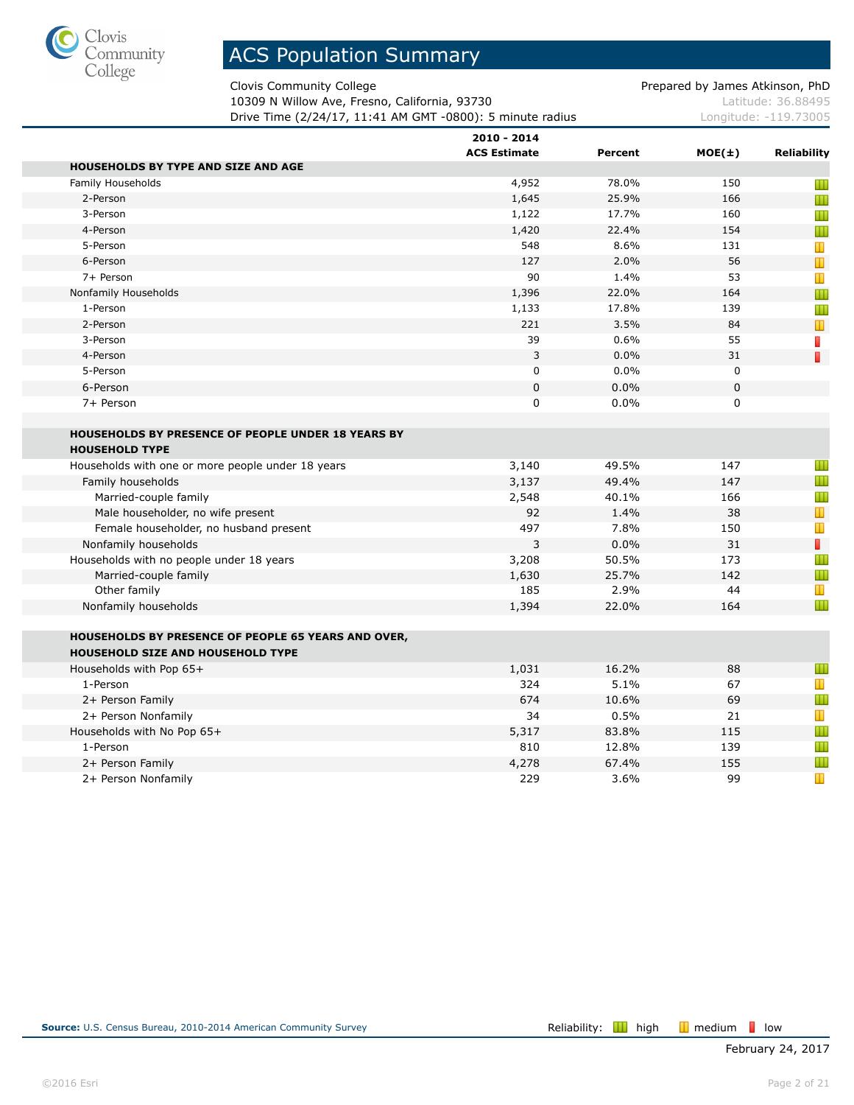

Clovis Community College **Prepared by James Atkinson, PhD** 

10309 N Willow Ave, Fresno, California, 93730 Material Control 2010 Matte 26.88495 **Drive Time (2/24/17, 11:41 AM GMT -0800): 5 minute radius** Longitude: -119.73005

|                                                           | 2010 - 2014<br><b>ACS Estimate</b> | Percent       |            | <b>Reliability</b> |
|-----------------------------------------------------------|------------------------------------|---------------|------------|--------------------|
| HOUSEHOLDS BY TYPE AND SIZE AND AGE                       |                                    |               | $MOE(\pm)$ |                    |
| Family Households                                         | 4,952                              | 78.0%         | 150        | Ш                  |
| 2-Person                                                  | 1,645                              | 25.9%         | 166        | Ш                  |
| 3-Person                                                  | 1,122                              | 17.7%         | 160        | Ш                  |
| 4-Person                                                  | 1,420                              | 22.4%         | 154        | Ш                  |
| 5-Person                                                  | 548                                | 8.6%          | 131        | T                  |
| 6-Person                                                  | 127                                | 2.0%          | 56         |                    |
| 7+ Person                                                 | 90                                 | 1.4%          | 53         | T                  |
| Nonfamily Households                                      | 1,396                              | 22.0%         | 164        | Ш                  |
| 1-Person                                                  | 1,133                              | 17.8%         | 139        | Ш                  |
| 2-Person                                                  | 221                                | 3.5%          | 84         | T                  |
| 3-Person                                                  | 39                                 | 0.6%          | 55         | П                  |
| 4-Person                                                  | 3                                  | 0.0%          | 31         | П                  |
| 5-Person                                                  | $\pmb{0}$                          | 0.0%          | 0          |                    |
| 6-Person                                                  | $\mathbf 0$                        | 0.0%          | 0          |                    |
| 7+ Person                                                 | $\mathbf 0$                        | 0.0%          | 0          |                    |
|                                                           |                                    |               |            |                    |
| <b>HOUSEHOLDS BY PRESENCE OF PEOPLE UNDER 18 YEARS BY</b> |                                    |               |            |                    |
| <b>HOUSEHOLD TYPE</b>                                     |                                    |               |            |                    |
| Households with one or more people under 18 years         | 3,140                              | 49.5%         | 147        | Ш                  |
|                                                           | 3,137                              | 49.4%         | 147        | Ш                  |
| Family households                                         |                                    | 40.1%         | 166        | Ш                  |
| Married-couple family                                     | 2,548                              |               | 38         | T                  |
| Male householder, no wife present                         | 92                                 | 1.4%          |            | T                  |
| Female householder, no husband present                    | 497<br>3                           | 7.8%<br>0.0%  | 150<br>31  | П                  |
| Nonfamily households                                      |                                    |               |            | Ш                  |
| Households with no people under 18 years                  | 3,208                              | 50.5%         | 173        | Ш                  |
| Married-couple family<br>Other family                     | 1,630<br>185                       | 25.7%<br>2.9% | 142<br>44  | Т                  |
|                                                           |                                    | 22.0%         | 164        | Ш                  |
| Nonfamily households                                      | 1,394                              |               |            |                    |
| HOUSEHOLDS BY PRESENCE OF PEOPLE 65 YEARS AND OVER,       |                                    |               |            |                    |
| HOUSEHOLD SIZE AND HOUSEHOLD TYPE                         |                                    |               |            |                    |
| Households with Pop 65+                                   | 1,031                              | 16.2%         | 88         | Ш                  |
| 1-Person                                                  | 324                                | 5.1%          | 67         | Т                  |
| 2+ Person Family                                          | 674                                | 10.6%         | 69         | Ш                  |
| 2+ Person Nonfamily                                       | 34                                 | 0.5%          | 21         | Т                  |
| Households with No Pop 65+                                | 5,317                              | 83.8%         | 115        | Ш                  |
| 1-Person                                                  | 810                                | 12.8%         | 139        | Ш                  |
| 2+ Person Family                                          | 4,278                              | 67.4%         | 155        | Ш                  |
| 2+ Person Nonfamily                                       | 229                                | 3.6%          | 99         | $\mathbf T$        |
|                                                           |                                    |               |            |                    |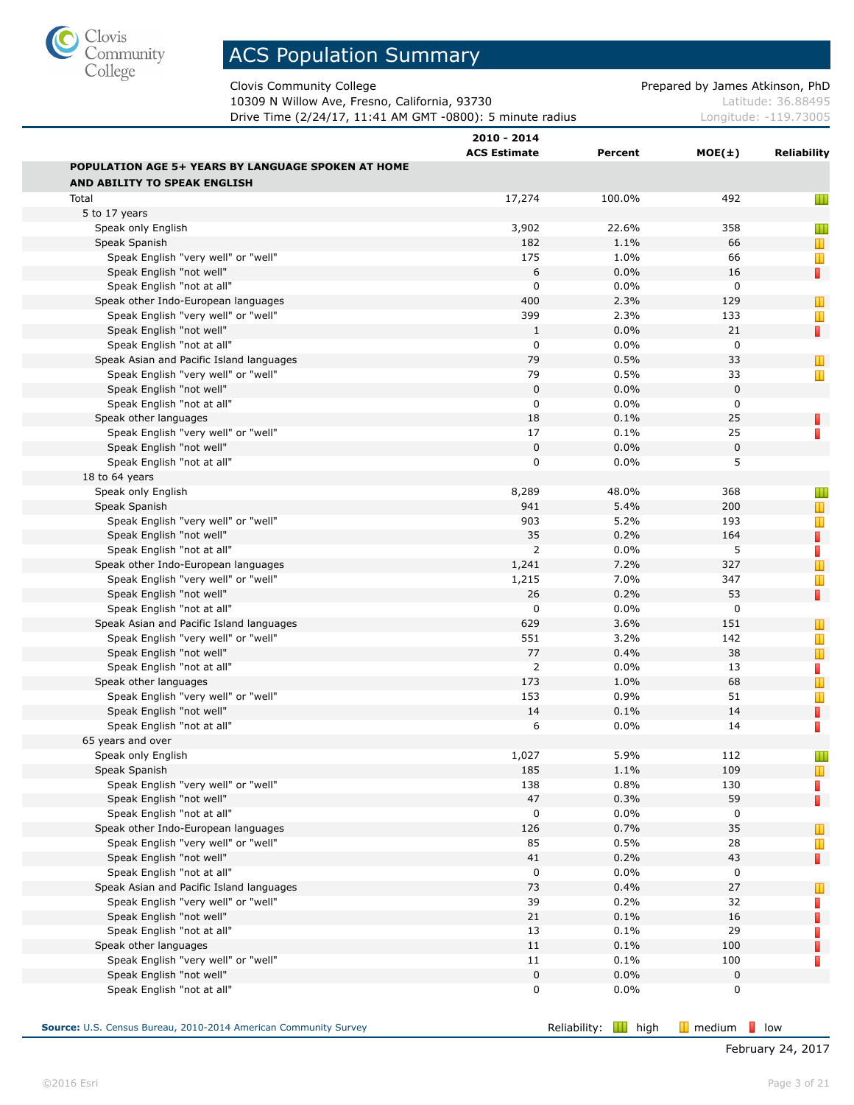

Clovis Community College **Prepared by James Atkinson, PhD** 

10309 N Willow Ave, Fresno, California, 93730 Material Control 2010 Matte 26.88495 **Drive Time (2/24/17, 11:41 AM GMT -0800): 5 minute radius** Longitude: -119.73005

| $MOE(\pm)$<br>Reliability<br>492<br>Ш                                                                                                                                                                                                                                               |
|-------------------------------------------------------------------------------------------------------------------------------------------------------------------------------------------------------------------------------------------------------------------------------------|
|                                                                                                                                                                                                                                                                                     |
|                                                                                                                                                                                                                                                                                     |
|                                                                                                                                                                                                                                                                                     |
|                                                                                                                                                                                                                                                                                     |
|                                                                                                                                                                                                                                                                                     |
| 358<br>Ш                                                                                                                                                                                                                                                                            |
| 66<br>T                                                                                                                                                                                                                                                                             |
| 66<br>Ш                                                                                                                                                                                                                                                                             |
| П<br>16                                                                                                                                                                                                                                                                             |
| 0                                                                                                                                                                                                                                                                                   |
| 129<br>T                                                                                                                                                                                                                                                                            |
| 133<br>Ш                                                                                                                                                                                                                                                                            |
| П<br>21                                                                                                                                                                                                                                                                             |
| 0                                                                                                                                                                                                                                                                                   |
| 33<br>T                                                                                                                                                                                                                                                                             |
| Ш                                                                                                                                                                                                                                                                                   |
|                                                                                                                                                                                                                                                                                     |
|                                                                                                                                                                                                                                                                                     |
| П                                                                                                                                                                                                                                                                                   |
| П                                                                                                                                                                                                                                                                                   |
|                                                                                                                                                                                                                                                                                     |
|                                                                                                                                                                                                                                                                                     |
|                                                                                                                                                                                                                                                                                     |
| Ш                                                                                                                                                                                                                                                                                   |
| Т                                                                                                                                                                                                                                                                                   |
| Т                                                                                                                                                                                                                                                                                   |
| П                                                                                                                                                                                                                                                                                   |
| D                                                                                                                                                                                                                                                                                   |
| $\mathbb T$                                                                                                                                                                                                                                                                         |
| Ш                                                                                                                                                                                                                                                                                   |
| П                                                                                                                                                                                                                                                                                   |
|                                                                                                                                                                                                                                                                                     |
| Ш                                                                                                                                                                                                                                                                                   |
| Ш                                                                                                                                                                                                                                                                                   |
| Т                                                                                                                                                                                                                                                                                   |
| П                                                                                                                                                                                                                                                                                   |
| $\mathbb T$                                                                                                                                                                                                                                                                         |
| Ш                                                                                                                                                                                                                                                                                   |
| П                                                                                                                                                                                                                                                                                   |
| П                                                                                                                                                                                                                                                                                   |
|                                                                                                                                                                                                                                                                                     |
| Ш                                                                                                                                                                                                                                                                                   |
| T                                                                                                                                                                                                                                                                                   |
| П                                                                                                                                                                                                                                                                                   |
| П                                                                                                                                                                                                                                                                                   |
|                                                                                                                                                                                                                                                                                     |
|                                                                                                                                                                                                                                                                                     |
| T                                                                                                                                                                                                                                                                                   |
| Т                                                                                                                                                                                                                                                                                   |
| П                                                                                                                                                                                                                                                                                   |
|                                                                                                                                                                                                                                                                                     |
| Ш                                                                                                                                                                                                                                                                                   |
| П                                                                                                                                                                                                                                                                                   |
| П                                                                                                                                                                                                                                                                                   |
| П                                                                                                                                                                                                                                                                                   |
| П                                                                                                                                                                                                                                                                                   |
| П                                                                                                                                                                                                                                                                                   |
|                                                                                                                                                                                                                                                                                     |
|                                                                                                                                                                                                                                                                                     |
| 33<br>$\mathbf 0$<br>0<br>25<br>25<br>0<br>5<br>368<br>200<br>193<br>164<br>5<br>327<br>347<br>53<br>$\mathbf 0$<br>151<br>142<br>38<br>13<br>68<br>51<br>14<br>14<br>112<br>109<br>130<br>59<br>0<br>35<br>28<br>43<br>0<br>27<br>32<br>16<br>29<br>100<br>100<br>$\mathbf 0$<br>0 |

**Source:** U.S. Census Bureau, 2010-2014 American Community Survey **Reliability: Reliability: III** high **III** medium **l**ow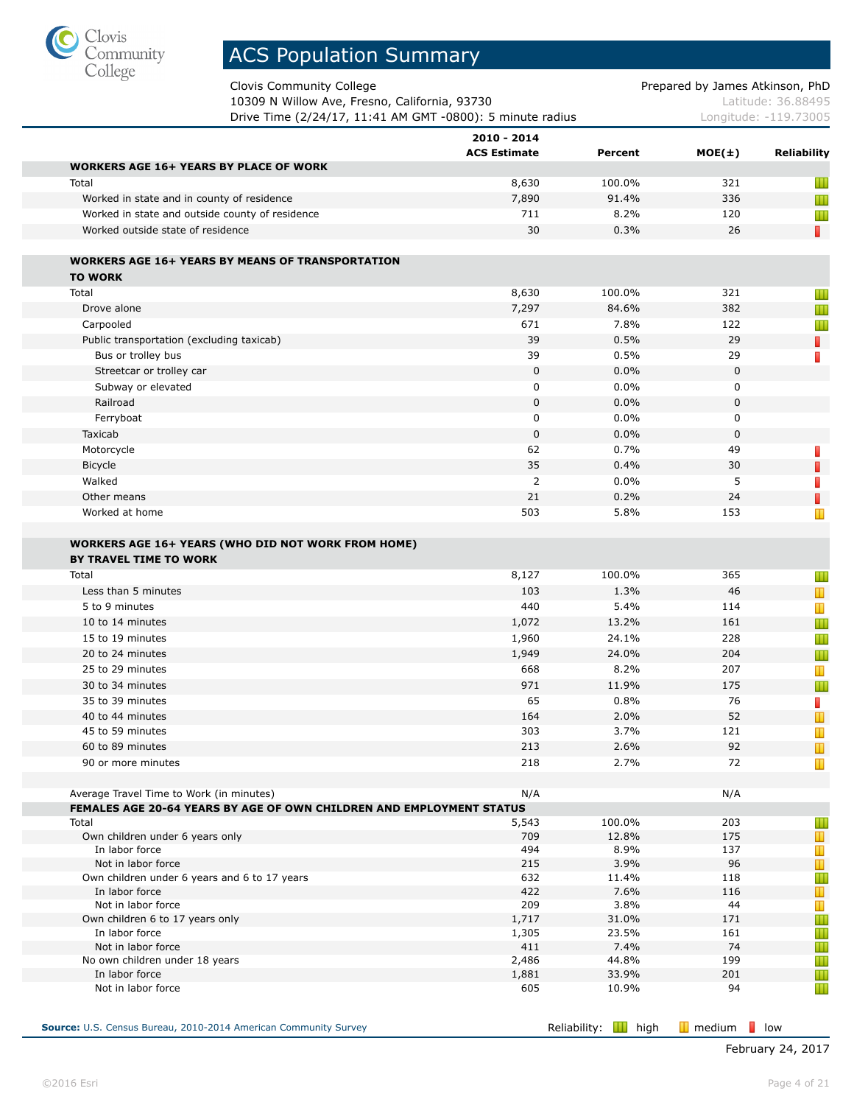

Clovis Community College **Prepared by James Atkinson**, PhD

| 10309 N Willow Ave, Fresno, California, 93730             | Latitude: 36.88495    |
|-----------------------------------------------------------|-----------------------|
| Drive Time (2/24/17, 11:41 AM GMT -0800): 5 minute radius | Longitude: -119.73005 |

|                                                                                     | 2010 - 2014<br><b>ACS Estimate</b> | Percent       | $MOE(\pm)$  | Reliability                    |
|-------------------------------------------------------------------------------------|------------------------------------|---------------|-------------|--------------------------------|
| <b>WORKERS AGE 16+ YEARS BY PLACE OF WORK</b>                                       |                                    |               |             |                                |
| Total                                                                               | 8,630                              | 100.0%        | 321         | Ш                              |
| Worked in state and in county of residence                                          | 7,890                              | 91.4%         | 336         | Ш                              |
| Worked in state and outside county of residence                                     | 711                                | 8.2%          | 120         | Ш                              |
| Worked outside state of residence                                                   | 30                                 | 0.3%          | 26          | T.                             |
| <b>WORKERS AGE 16+ YEARS BY MEANS OF TRANSPORTATION</b><br><b>TO WORK</b>           |                                    |               |             |                                |
| Total                                                                               | 8,630                              | 100.0%        | 321         |                                |
|                                                                                     |                                    | 84.6%         | 382         | Ш                              |
| Drove alone                                                                         | 7,297<br>671                       |               | 122         | Ш                              |
| Carpooled                                                                           |                                    | 7.8%          |             | Ш                              |
| Public transportation (excluding taxicab)                                           | 39                                 | 0.5%          | 29          | П                              |
| Bus or trolley bus                                                                  | 39                                 | 0.5%          | 29          | D                              |
| Streetcar or trolley car                                                            | $\mathbf 0$                        | 0.0%          | $\pmb{0}$   |                                |
| Subway or elevated                                                                  | 0                                  | 0.0%          | 0           |                                |
| Railroad                                                                            | $\mathbf 0$                        | 0.0%          | $\mathbf 0$ |                                |
| Ferryboat                                                                           | 0                                  | 0.0%          | 0           |                                |
| Taxicab                                                                             | $\mathbf 0$                        | 0.0%          | 0           |                                |
| Motorcycle                                                                          | 62                                 | 0.7%          | 49          | П                              |
| Bicycle                                                                             | 35                                 | 0.4%          | 30          | $\overline{\phantom{a}}$       |
| Walked                                                                              | $\overline{2}$                     | 0.0%          | 5           | П                              |
| Other means                                                                         | 21                                 | 0.2%          | 24          | П                              |
| Worked at home                                                                      | 503                                | 5.8%          | 153         | Т                              |
| <b>WORKERS AGE 16+ YEARS (WHO DID NOT WORK FROM HOME)</b><br>BY TRAVEL TIME TO WORK |                                    |               |             |                                |
| Total                                                                               | 8,127                              | 100.0%        | 365         | Ш                              |
| Less than 5 minutes                                                                 | 103                                | 1.3%          | 46          | $\mathbf{T}$                   |
| 5 to 9 minutes                                                                      | 440                                | 5.4%          | 114         | Т                              |
| 10 to 14 minutes                                                                    | 1,072                              | 13.2%         | 161         | Ш                              |
| 15 to 19 minutes                                                                    | 1,960                              | 24.1%         | 228         | Ш                              |
| 20 to 24 minutes                                                                    | 1,949                              | 24.0%         | 204         | Ш                              |
| 25 to 29 minutes                                                                    | 668                                | 8.2%          | 207         | Ш                              |
| 30 to 34 minutes                                                                    | 971                                | 11.9%         | 175         | Ш                              |
| 35 to 39 minutes                                                                    | 65                                 | 0.8%          | 76          | D                              |
| 40 to 44 minutes                                                                    | 164                                | 2.0%          | 52          | T                              |
| 45 to 59 minutes                                                                    | 303                                | 3.7%          | 121         | Т                              |
| 60 to 89 minutes                                                                    | 213                                | 2.6%          | 92          | Т                              |
| 90 or more minutes                                                                  | 218                                | 2.7%          | 72          | Ш                              |
| Average Travel Time to Work (in minutes)                                            | N/A                                |               | N/A         |                                |
| FEMALES AGE 20-64 YEARS BY AGE OF OWN CHILDREN AND EMPLOYMENT STATUS                |                                    |               |             |                                |
| Total                                                                               | 5,543                              | 100.0%        | 203         | Ш                              |
| Own children under 6 years only                                                     | 709                                | 12.8%         | 175         | $\mathbf{\mathbf{\mathsf{u}}}$ |
| In labor force                                                                      | 494                                | 8.9%          | 137         | Т                              |
| Not in labor force                                                                  | 215                                | 3.9%          | 96          | $\mathbb T$                    |
| Own children under 6 years and 6 to 17 years<br>In labor force                      | 632<br>422                         | 11.4%<br>7.6% | 118<br>116  | Ш                              |
| Not in labor force                                                                  | 209                                | 3.8%          | 44          | T<br>T                         |
| Own children 6 to 17 years only                                                     | 1,717                              | 31.0%         | 171         | Ш                              |
| In labor force                                                                      | 1,305                              | 23.5%         | 161         | Ш                              |
| Not in labor force                                                                  | 411                                | 7.4%          | 74          | Ш                              |
| No own children under 18 years                                                      | 2,486                              | 44.8%         | 199         | Ш                              |
| In labor force                                                                      | 1,881                              | 33.9%         | 201         | Ш                              |
| Not in labor force                                                                  | 605                                | 10.9%         | 94          | Ш                              |

**Source:** U.S. Census Bureau, 2010-2014 American Community Survey **Reliability:** Reliability: **II** high **II** medium **low**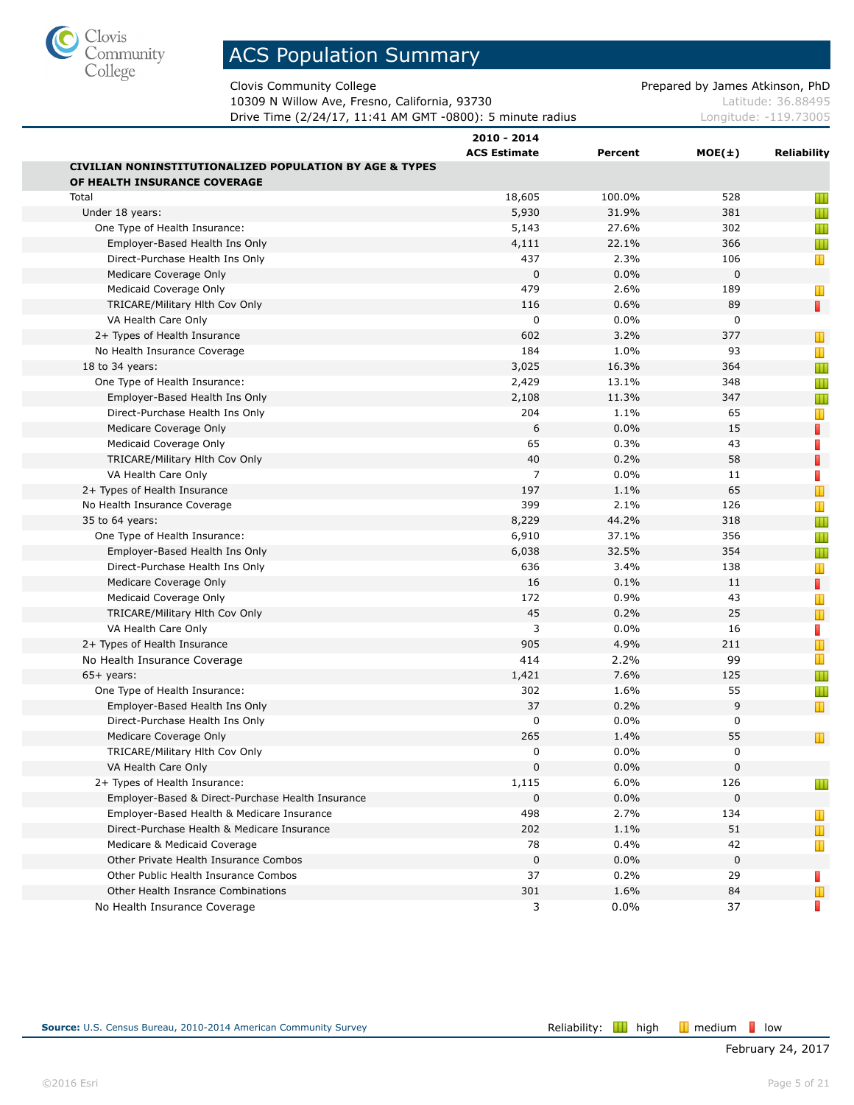

Clovis Community College **Prepared by James Atkinson, PhD** 

10309 N Willow Ave, Fresno, California, 93730 Material Control 2010 Matte 26.88495 **Drive Time (2/24/17, 11:41 AM GMT -0800): 5 minute radius Longitude: -119.73005** 

|                                                                                                    | 2010 - 2014         |         |             |                |
|----------------------------------------------------------------------------------------------------|---------------------|---------|-------------|----------------|
|                                                                                                    | <b>ACS Estimate</b> | Percent | MOE(±)      | Reliability    |
| <b>CIVILIAN NONINSTITUTIONALIZED POPULATION BY AGE &amp; TYPES</b><br>OF HEALTH INSURANCE COVERAGE |                     |         |             |                |
| Total                                                                                              | 18,605              | 100.0%  | 528         |                |
| Under 18 years:                                                                                    | 5,930               | 31.9%   | 381         | Ш<br>Ш         |
| One Type of Health Insurance:                                                                      | 5,143               | 27.6%   | 302         | Ш              |
| Employer-Based Health Ins Only                                                                     | 4,111               | 22.1%   | 366         | Ш              |
| Direct-Purchase Health Ins Only                                                                    | 437                 | 2.3%    | 106         |                |
| Medicare Coverage Only                                                                             | $\mathbf 0$         | 0.0%    | $\Omega$    | Ш              |
| Medicaid Coverage Only                                                                             | 479                 | 2.6%    | 189         |                |
| TRICARE/Military Hith Cov Only                                                                     | 116                 | 0.6%    | 89          | Ш<br>П         |
| VA Health Care Only                                                                                | 0                   | 0.0%    | 0           |                |
| 2+ Types of Health Insurance                                                                       | 602                 | 3.2%    | 377         |                |
| No Health Insurance Coverage                                                                       | 184                 | 1.0%    | 93          | Ш              |
|                                                                                                    | 3,025               | 16.3%   | 364         | Ш              |
| 18 to 34 years:<br>One Type of Health Insurance:                                                   | 2,429               | 13.1%   | 348         | Ш              |
|                                                                                                    |                     |         |             | Ш              |
| Employer-Based Health Ins Only                                                                     | 2,108<br>204        | 11.3%   | 347         | Ш              |
| Direct-Purchase Health Ins Only                                                                    |                     | 1.1%    | 65          | T              |
| Medicare Coverage Only                                                                             | 6                   | 0.0%    | 15          | П              |
| Medicaid Coverage Only                                                                             | 65                  | 0.3%    | 43          | B              |
| TRICARE/Military Hith Cov Only                                                                     | 40                  | 0.2%    | 58          | ı              |
| VA Health Care Only                                                                                | $\overline{7}$      | 0.0%    | 11          | $\mathbb{R}^n$ |
| 2+ Types of Health Insurance                                                                       | 197                 | 1.1%    | 65          | $\mathbb T$    |
| No Health Insurance Coverage                                                                       | 399                 | 2.1%    | 126         | Т              |
| 35 to 64 years:                                                                                    | 8,229               | 44.2%   | 318         | Ш              |
| One Type of Health Insurance:                                                                      | 6,910               | 37.1%   | 356         | Ш              |
| Employer-Based Health Ins Only                                                                     | 6,038               | 32.5%   | 354         | Ш              |
| Direct-Purchase Health Ins Only                                                                    | 636                 | 3.4%    | 138         | T              |
| Medicare Coverage Only                                                                             | 16                  | 0.1%    | 11          | П              |
| Medicaid Coverage Only                                                                             | 172                 | 0.9%    | 43          | Ш              |
| TRICARE/Military Hith Cov Only                                                                     | 45                  | 0.2%    | 25          | $\mathbb T$    |
| VA Health Care Only                                                                                | 3                   | 0.0%    | 16          | П              |
| 2+ Types of Health Insurance                                                                       | 905                 | 4.9%    | 211         |                |
| No Health Insurance Coverage                                                                       | 414                 | 2.2%    | 99          | Т              |
| $65+$ years:                                                                                       | 1,421               | 7.6%    | 125         | Ш              |
| One Type of Health Insurance:                                                                      | 302                 | 1.6%    | 55          | Ш              |
| Employer-Based Health Ins Only                                                                     | 37                  | 0.2%    | 9           | Т              |
| Direct-Purchase Health Ins Only                                                                    | 0                   | 0.0%    | 0           |                |
| Medicare Coverage Only                                                                             | 265                 | 1.4%    | 55          | Ш              |
| TRICARE/Military Hith Cov Only                                                                     | 0                   | 0.0%    | 0           |                |
| VA Health Care Only                                                                                | 0                   | 0.0%    | 0           |                |
| 2+ Types of Health Insurance:                                                                      | 1,115               | 6.0%    | 126         | Ш              |
| Employer-Based & Direct-Purchase Health Insurance                                                  | 0                   | 0.0%    | 0           |                |
| Employer-Based Health & Medicare Insurance                                                         | 498                 | 2.7%    | 134         | ш              |
| Direct-Purchase Health & Medicare Insurance                                                        | 202                 | 1.1%    | 51          | T              |
| Medicare & Medicaid Coverage                                                                       | 78                  | 0.4%    | 42          | T              |
| Other Private Health Insurance Combos                                                              | $\mathbf 0$         | 0.0%    | $\mathbf 0$ |                |
| Other Public Health Insurance Combos                                                               | 37                  | 0.2%    | 29          | п              |
| Other Health Insrance Combinations                                                                 | 301                 | 1.6%    | 84          | Ш              |
| No Health Insurance Coverage                                                                       | 3                   | 0.0%    | 37          |                |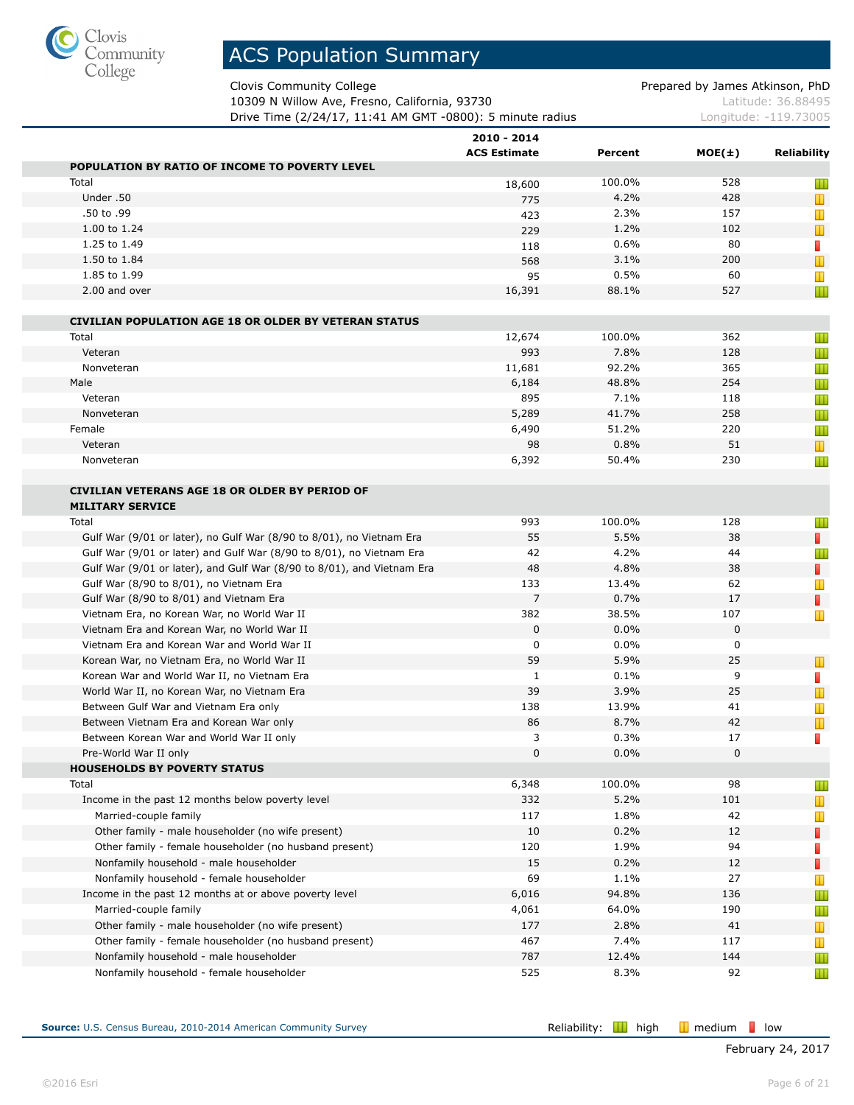

Clovis Community College **Prepared by James Atkinson, PhD** 

10309 N Willow Ave, Fresno, California, 93730 Material Control 2010 Matte 26.88495 **Drive Time (2/24/17, 11:41 AM GMT -0800): 5 minute radius** Longitude: -119.73005

|                                                                                                             | 2010 - 2014         |               |             |                    |
|-------------------------------------------------------------------------------------------------------------|---------------------|---------------|-------------|--------------------|
|                                                                                                             | <b>ACS Estimate</b> | Percent       | $MOE(\pm)$  | <b>Reliability</b> |
| POPULATION BY RATIO OF INCOME TO POVERTY LEVEL<br>Total                                                     |                     | 100.0%        | 528         |                    |
| Under .50                                                                                                   | 18,600              | 4.2%          | 428         | Ш                  |
| .50 to .99                                                                                                  | 775<br>423          | 2.3%          | 157         | T<br>T             |
| 1.00 to 1.24                                                                                                | 229                 | 1.2%          | 102         | T                  |
| 1.25 to 1.49                                                                                                | 118                 | 0.6%          | 80          | П                  |
| 1.50 to 1.84                                                                                                | 568                 | 3.1%          | 200         | T                  |
| 1.85 to 1.99                                                                                                | 95                  | 0.5%          | 60          | Ш                  |
| 2.00 and over                                                                                               | 16,391              | 88.1%         | 527         | Ш                  |
|                                                                                                             |                     |               |             |                    |
| <b>CIVILIAN POPULATION AGE 18 OR OLDER BY VETERAN STATUS</b>                                                |                     |               |             |                    |
| Total                                                                                                       | 12,674              | 100.0%        | 362         | Ш                  |
| Veteran                                                                                                     | 993                 | 7.8%          | 128         | Ш                  |
| Nonveteran                                                                                                  | 11,681              | 92.2%         | 365         | Ш                  |
| Male                                                                                                        | 6,184               | 48.8%         | 254         | Ш                  |
| Veteran                                                                                                     | 895                 | 7.1%          | 118         | Ш                  |
| Nonveteran                                                                                                  | 5,289               | 41.7%         | 258         | Ш                  |
| Female                                                                                                      | 6,490               | 51.2%         | 220         | Ш                  |
| Veteran                                                                                                     | 98                  | 0.8%          | 51          | T                  |
| Nonveteran                                                                                                  | 6,392               | 50.4%         | 230         | Ш                  |
|                                                                                                             |                     |               |             |                    |
| <b>CIVILIAN VETERANS AGE 18 OR OLDER BY PERIOD OF</b>                                                       |                     |               |             |                    |
| <b>MILITARY SERVICE</b>                                                                                     |                     |               |             |                    |
| Total                                                                                                       | 993                 | 100.0%        | 128         | Ш                  |
| Gulf War (9/01 or later), no Gulf War (8/90 to 8/01), no Vietnam Era                                        | 55                  | 5.5%          | 38          | $\mathbb{R}^n$     |
| Gulf War (9/01 or later) and Gulf War (8/90 to 8/01), no Vietnam Era                                        | 42                  | 4.2%          | 44          | Ш                  |
| Gulf War (9/01 or later), and Gulf War (8/90 to 8/01), and Vietnam Era                                      | 48                  | 4.8%          | 38          | П                  |
| Gulf War (8/90 to 8/01), no Vietnam Era                                                                     | 133                 | 13.4%         | 62          | Т                  |
| Gulf War (8/90 to 8/01) and Vietnam Era                                                                     | $\overline{7}$      | 0.7%          | 17          | П                  |
| Vietnam Era, no Korean War, no World War II                                                                 | 382                 | 38.5%         | 107         | Ш                  |
| Vietnam Era and Korean War, no World War II                                                                 | $\mathbf 0$         | 0.0%          | $\mathbf 0$ |                    |
| Vietnam Era and Korean War and World War II                                                                 | 0                   | $0.0\%$       | 0           |                    |
| Korean War, no Vietnam Era, no World War II                                                                 | 59                  | 5.9%          | 25          | T                  |
| Korean War and World War II, no Vietnam Era                                                                 | 1                   | 0.1%          | 9           | п                  |
| World War II, no Korean War, no Vietnam Era                                                                 | 39<br>138           | 3.9%<br>13.9% | 25          | Т                  |
| Between Gulf War and Vietnam Era only                                                                       |                     | 8.7%          | 41          | Ш                  |
| Between Vietnam Era and Korean War only                                                                     | 86<br>3             |               | 42<br>17    | T                  |
| Between Korean War and World War II only<br>Pre-World War II only                                           | $\mathbf{0}$        | 0.3%<br>0.0%  | 0           | П                  |
| <b>HOUSEHOLDS BY POVERTY STATUS</b>                                                                         |                     |               |             |                    |
| Total                                                                                                       | 6,348               | 100.0%        | 98          | Ш                  |
| Income in the past 12 months below poverty level                                                            | 332                 | 5.2%          | 101         | T                  |
| Married-couple family                                                                                       | 117                 | 1.8%          | 42          | Ш                  |
| Other family - male householder (no wife present)                                                           | 10                  | 0.2%          | 12          |                    |
| Other family - female householder (no husband present)                                                      | 120                 | 1.9%          | 94          | П                  |
| Nonfamily household - male householder                                                                      | 15                  | 0.2%          | 12          | $\Box$             |
| Nonfamily household - female householder                                                                    | 69                  | 1.1%          | 27          | П                  |
| Income in the past 12 months at or above poverty level                                                      | 6,016               | 94.8%         | 136         | T                  |
| Married-couple family                                                                                       | 4,061               | 64.0%         | 190         | Ш                  |
|                                                                                                             |                     |               |             | Ш                  |
| Other family - male householder (no wife present)<br>Other family - female householder (no husband present) | 177<br>467          | 2.8%<br>7.4%  | 41<br>117   | T                  |
| Nonfamily household - male householder                                                                      | 787                 | 12.4%         | 144         | Ш                  |
| Nonfamily household - female householder                                                                    | 525                 | 8.3%          | 92          | Ш                  |
|                                                                                                             |                     |               |             | Ш                  |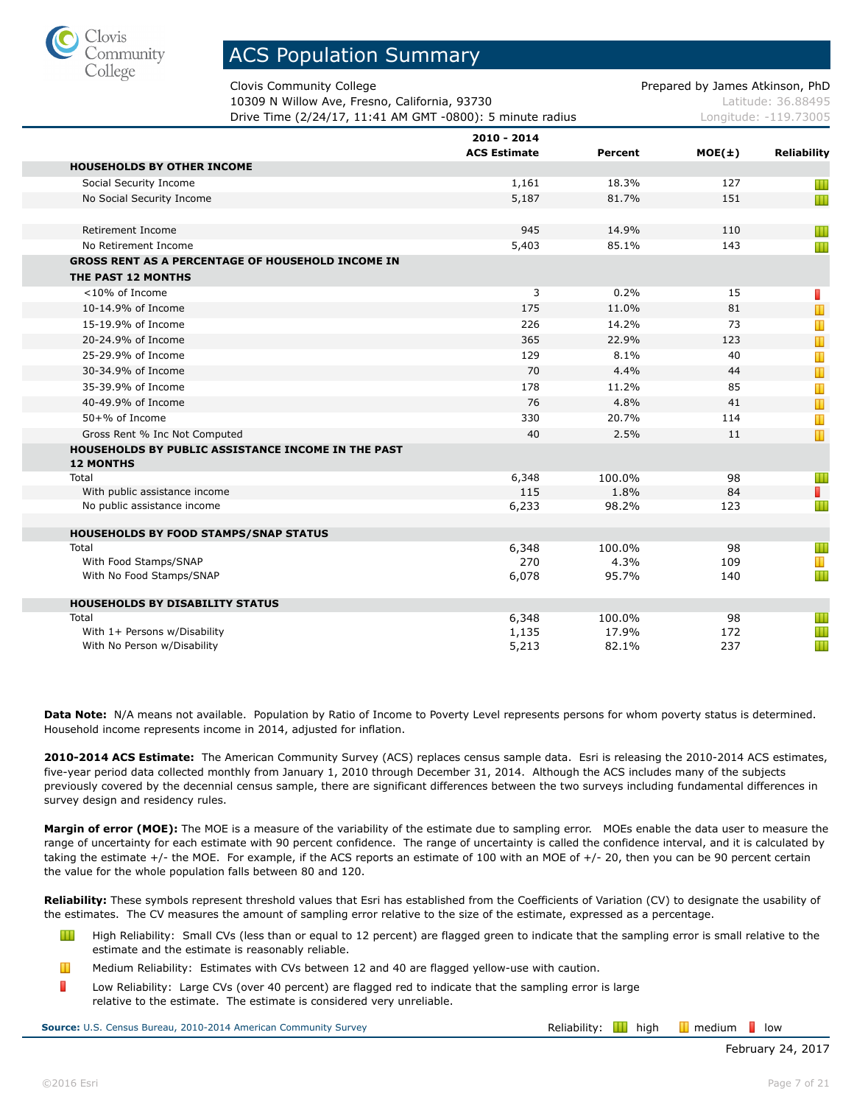

Clovis Community College **Prepared by James Atkinson, PhD** Prepared by James Atkinson, PhD

Ш

Ш Ш Ш

Ш Ш

10309 N Willow Ave, Fresno, California, 93730 Mattitude: 36.88495 **Drive Time (2/24/17, 11:41 AM GMT -0800): 5 minute radius represent construct** Longitude: -119.73005

| Drive Time (2/24/17, 11:41 AM GMT -0800): 5 minute radius              |                     |         |            | _onqitude: -119./3005 |  |
|------------------------------------------------------------------------|---------------------|---------|------------|-----------------------|--|
|                                                                        | 2010 - 2014         |         |            |                       |  |
|                                                                        | <b>ACS Estimate</b> | Percent | $MOE(\pm)$ | Reliability           |  |
| <b>HOUSEHOLDS BY OTHER INCOME</b>                                      |                     |         |            |                       |  |
| Social Security Income                                                 | 1,161               | 18.3%   | 127        | Ш                     |  |
| No Social Security Income                                              | 5,187               | 81.7%   | 151        | Ш                     |  |
|                                                                        |                     |         |            |                       |  |
| Retirement Income                                                      | 945                 | 14.9%   | 110        | Ш                     |  |
| No Retirement Income                                                   | 5,403               | 85.1%   | 143        | Ш                     |  |
| <b>GROSS RENT AS A PERCENTAGE OF HOUSEHOLD INCOME IN</b>               |                     |         |            |                       |  |
| THE PAST 12 MONTHS                                                     |                     |         |            |                       |  |
| <10% of Income                                                         | 3                   | 0.2%    | 15         | П                     |  |
| 10-14.9% of Income                                                     | 175                 | 11.0%   | 81         | Ш                     |  |
| 15-19.9% of Income                                                     | 226                 | 14.2%   | 73         | Ш                     |  |
| 20-24.9% of Income                                                     | 365                 | 22.9%   | 123        | Т                     |  |
| 25-29.9% of Income                                                     | 129                 | 8.1%    | 40         | Т                     |  |
| 30-34.9% of Income                                                     | 70                  | 4.4%    | 44         | Ш                     |  |
| 35-39.9% of Income                                                     | 178                 | 11.2%   | 85         | Т                     |  |
| 40-49.9% of Income                                                     | 76                  | 4.8%    | 41         | Ш                     |  |
| 50+% of Income                                                         | 330                 | 20.7%   | 114        | Ш                     |  |
| Gross Rent % Inc Not Computed                                          | 40                  | 2.5%    | 11         | Т                     |  |
| HOUSEHOLDS BY PUBLIC ASSISTANCE INCOME IN THE PAST<br><b>12 MONTHS</b> |                     |         |            |                       |  |

**Data Note:** N/A means not available. Population by Ratio of Income to Poverty Level represents persons for whom poverty status is determined. Household income represents income in 2014, adjusted for inflation.

Total 6,348 100.0% 98 With public assistance income and the set of the set of the set of the set of the set of the set of the set of the set of the set of the set of the set of the set of the set of the set of the set of the set of the set of t No public assistance income and the set of the set of the set of the set of the set of the set of the set of the set of the set of the set of the set of the set of the set of the set of the set of the set of the set of the

Total 6,348 100.0% 98 With Food Stamps/SNAP 270 270 4.3% 109 With No Food Stamps/SNAP **6,078** 95.7% 140

Total 6,348 100.0% 98 With 1+ Persons w/Disability 172 With No Person w/Disability 237 and 237 and 237 and 237 and 32.1% 237 and 32.1% 237

**2010-2014 ACS Estimate:** The American Community Survey (ACS) replaces census sample data. Esri is releasing the 2010-2014 ACS estimates, five-year period data collected monthly from January 1, 2010 through December 31, 2014. Although the ACS includes many of the subjects previously covered by the decennial census sample, there are significant differences between the two surveys including fundamental differences in survey design and residency rules.

**Margin of error (MOE):** The MOE is a measure of the variability of the estimate due to sampling error. MOEs enable the data user to measure the range of uncertainty for each estimate with 90 percent confidence. The range of uncertainty is called the confidence interval, and it is calculated by taking the estimate +/- the MOE. For example, if the ACS reports an estimate of 100 with an MOE of +/- 20, then you can be 90 percent certain the value for the whole population falls between 80 and 120.

**Reliability:** These symbols represent threshold values that Esri has established from the Coefficients of Variation (CV) to designate the usability of the estimates. The CV measures the amount of sampling error relative to the size of the estimate, expressed as a percentage.

- Ш High Reliability: Small CVs (less than or equal to 12 percent) are flagged green to indicate that the sampling error is small relative to the estimate and the estimate is reasonably reliable.
- Ш Medium Reliability: Estimates with CVs between 12 and 40 are flagged yellow-use with caution.
- П Low Reliability: Large CVs (over 40 percent) are flagged red to indicate that the sampling error is large relative to the estimate. The estimate is considered very unreliable.

**Source:** U.S. Census Bureau, 2010-2014 American Community Survey **Relaction Survey Reliability: H** high **I** medium **l** low

**HOUSEHOLDS BY FOOD STAMPS/SNAP STATUS**

**HOUSEHOLDS BY DISABILITY STATUS**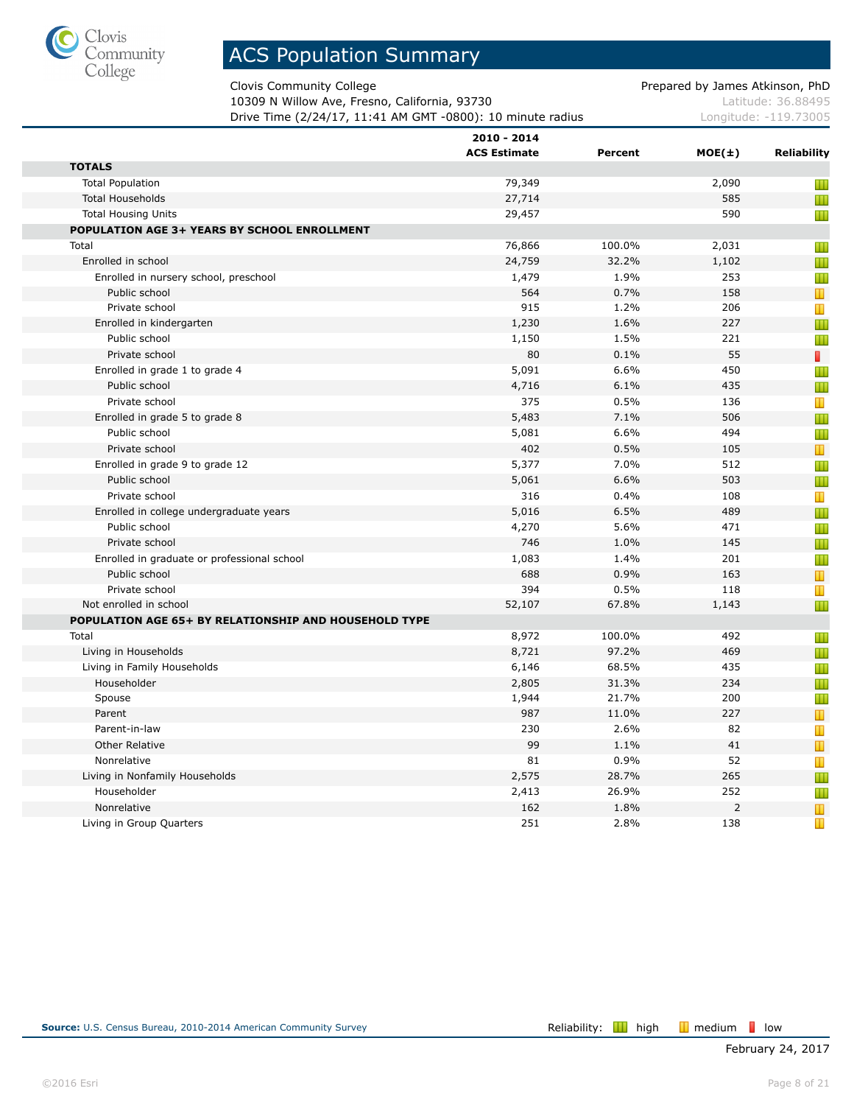

Clovis Community College **Prepared by James Atkinson, PhD** 

10309 N Willow Ave, Fresno, California, 93730 Material Control 2010 Matte 26.88495 **Drive Time (2/24/17, 11:41 AM GMT -0800): 10 minute radius Longitude: -119.73005** 

|                                                              | 2010 - 2014         |         |                |                     |
|--------------------------------------------------------------|---------------------|---------|----------------|---------------------|
| <b>TOTALS</b>                                                | <b>ACS Estimate</b> | Percent | $MOE(\pm)$     | <b>Reliability</b>  |
| <b>Total Population</b>                                      | 79,349              |         | 2,090          |                     |
| <b>Total Households</b>                                      | 27,714              |         | 585            | Ш                   |
| <b>Total Housing Units</b>                                   | 29,457              |         | 590            | Ш                   |
|                                                              |                     |         |                | Ш                   |
| POPULATION AGE 3+ YEARS BY SCHOOL ENROLLMENT<br>Total        | 76,866              | 100.0%  | 2,031          |                     |
| Enrolled in school                                           | 24,759              | 32.2%   | 1,102          | Ш                   |
|                                                              |                     | 1.9%    | 253            | Ш                   |
| Enrolled in nursery school, preschool<br>Public school       | 1,479<br>564        | 0.7%    | 158            | Ш<br>$\blacksquare$ |
| Private school                                               | 915                 | 1.2%    | 206            | Т                   |
| Enrolled in kindergarten                                     | 1,230               | 1.6%    | 227            | Ш                   |
| Public school                                                | 1,150               | 1.5%    | 221            | Ш                   |
| Private school                                               | 80                  | 0.1%    | 55             | П                   |
| Enrolled in grade 1 to grade 4                               | 5,091               | 6.6%    | 450            |                     |
| Public school                                                | 4,716               | 6.1%    | 435            | Ш<br>Ш              |
| Private school                                               | 375                 | 0.5%    | 136            |                     |
| Enrolled in grade 5 to grade 8                               | 5,483               | 7.1%    | 506            | Т                   |
| Public school                                                | 5,081               | 6.6%    | 494            | Ш                   |
| Private school                                               | 402                 | 0.5%    | 105            | Ш<br>Т              |
|                                                              | 5,377               | 7.0%    | 512            |                     |
| Enrolled in grade 9 to grade 12<br>Public school             | 5,061               | 6.6%    | 503            | Ш                   |
| Private school                                               | 316                 | 0.4%    | 108            | Ш                   |
|                                                              | 5,016               | 6.5%    | 489            | Т                   |
| Enrolled in college undergraduate years<br>Public school     |                     | 5.6%    | 471            | Ш                   |
| Private school                                               | 4,270<br>746        | 1.0%    | 145            | Ш                   |
|                                                              | 1,083               | 1.4%    | 201            | Ш                   |
| Enrolled in graduate or professional school<br>Public school | 688                 | 0.9%    | 163            | Ш                   |
| Private school                                               | 394                 | 0.5%    | 118            | T                   |
| Not enrolled in school                                       | 52,107              | 67.8%   | 1,143          | Т<br>Ш              |
| POPULATION AGE 65+ BY RELATIONSHIP AND HOUSEHOLD TYPE        |                     |         |                |                     |
| Total                                                        | 8,972               | 100.0%  | 492            |                     |
| Living in Households                                         | 8,721               | 97.2%   | 469            | Ш<br>Ш              |
| Living in Family Households                                  | 6,146               | 68.5%   | 435            | Ш                   |
| Householder                                                  | 2,805               | 31.3%   | 234            | Ш                   |
| Spouse                                                       | 1,944               | 21.7%   | 200            | Ш                   |
| Parent                                                       | 987                 | 11.0%   | 227            | Т                   |
| Parent-in-law                                                | 230                 | 2.6%    | 82             | Т                   |
| <b>Other Relative</b>                                        | 99                  | 1.1%    | 41             | $\mathbb T$         |
| Nonrelative                                                  | 81                  | 0.9%    | 52             | T                   |
| Living in Nonfamily Households                               | 2,575               | 28.7%   | 265            | Ш                   |
| Householder                                                  | 2,413               | 26.9%   | 252            | Ш                   |
| Nonrelative                                                  | 162                 | 1.8%    | $\overline{2}$ | Т                   |
| Living in Group Quarters                                     | 251                 | 2.8%    | 138            | T                   |
|                                                              |                     |         |                |                     |

п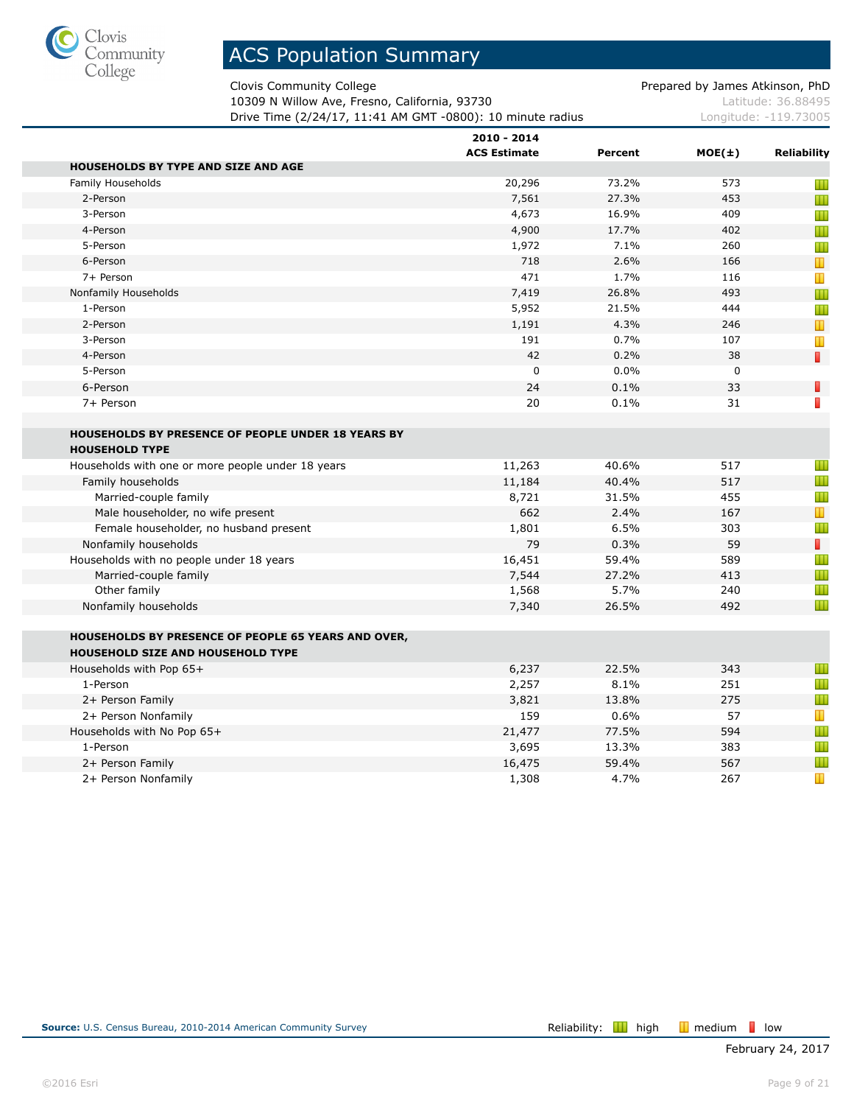

Clovis Community College **Prepared by James Atkinson, PhD** 

10309 N Willow Ave, Fresno, California, 93730 Material Control 2010 Matte 26.88495 **Drive Time (2/24/17, 11:41 AM GMT -0800): 10 minute radius Longitude: -119.73005** 

|                                                            | 2010 - 2014<br><b>ACS Estimate</b> | Percent | $MOE(\pm)$  | Reliability    |
|------------------------------------------------------------|------------------------------------|---------|-------------|----------------|
| <b>HOUSEHOLDS BY TYPE AND SIZE AND AGE</b>                 |                                    |         |             |                |
| Family Households                                          | 20,296                             | 73.2%   | 573         | Ш              |
| 2-Person                                                   | 7,561                              | 27.3%   | 453         | Ш              |
| 3-Person                                                   | 4,673                              | 16.9%   | 409         | Ш              |
| 4-Person                                                   | 4,900                              | 17.7%   | 402         | Ш              |
| 5-Person                                                   | 1,972                              | 7.1%    | 260         | Ш              |
| 6-Person                                                   | 718                                | 2.6%    | 166         | $\blacksquare$ |
| 7+ Person                                                  | 471                                | 1.7%    | 116         | Т              |
| Nonfamily Households                                       | 7,419                              | 26.8%   | 493         | Ш              |
| 1-Person                                                   | 5,952                              | 21.5%   | 444         | Ш              |
| 2-Person                                                   | 1,191                              | 4.3%    | 246         | T              |
| 3-Person                                                   | 191                                | 0.7%    | 107         | Ш              |
| 4-Person                                                   | 42                                 | 0.2%    | 38          | П              |
| 5-Person                                                   | $\mathbf 0$                        | 0.0%    | $\mathbf 0$ |                |
| 6-Person                                                   | 24                                 | 0.1%    | 33          | Г              |
| 7+ Person                                                  | 20                                 | 0.1%    | 31          | П              |
| HOUSEHOLDS BY PRESENCE OF PEOPLE UNDER 18 YEARS BY         |                                    |         |             |                |
| <b>HOUSEHOLD TYPE</b>                                      |                                    |         |             |                |
| Households with one or more people under 18 years          | 11,263                             | 40.6%   | 517         | Ш              |
| Family households                                          | 11,184                             | 40.4%   | 517         | Ш              |
| Married-couple family                                      | 8,721                              | 31.5%   | 455         | Ш              |
| Male householder, no wife present                          | 662                                | 2.4%    | 167         | T              |
| Female householder, no husband present                     | 1,801                              | 6.5%    | 303         | Ш              |
| Nonfamily households                                       | 79                                 | 0.3%    | 59          | П              |
| Households with no people under 18 years                   | 16,451                             | 59.4%   | 589         | Ш              |
| Married-couple family                                      | 7,544                              | 27.2%   | 413         | Ш              |
| Other family                                               | 1,568                              | 5.7%    | 240         | Ш              |
| Nonfamily households                                       | 7,340                              | 26.5%   | 492         | Ш              |
| <b>HOUSEHOLDS BY PRESENCE OF PEOPLE 65 YEARS AND OVER,</b> |                                    |         |             |                |
| HOUSEHOLD SIZE AND HOUSEHOLD TYPE                          |                                    |         |             |                |
| Households with Pop 65+                                    | 6,237                              | 22.5%   | 343         | Ш              |
| 1-Person                                                   | 2,257                              | 8.1%    | 251         | Ш              |
| 2+ Person Family                                           | 3,821                              | 13.8%   | 275         | Ш              |
| 2+ Person Nonfamily                                        | 159                                | 0.6%    | 57          | $\mathbf T$    |
| Households with No Pop 65+                                 | 21,477                             | 77.5%   | 594         | Ш              |
| 1-Person                                                   | 3,695                              | 13.3%   | 383         | Ш              |
| 2+ Person Family                                           | 16,475                             | 59.4%   | 567         | Ш              |
| 2+ Person Nonfamily                                        | 1,308                              | 4.7%    | 267         | Т              |
|                                                            |                                    |         |             |                |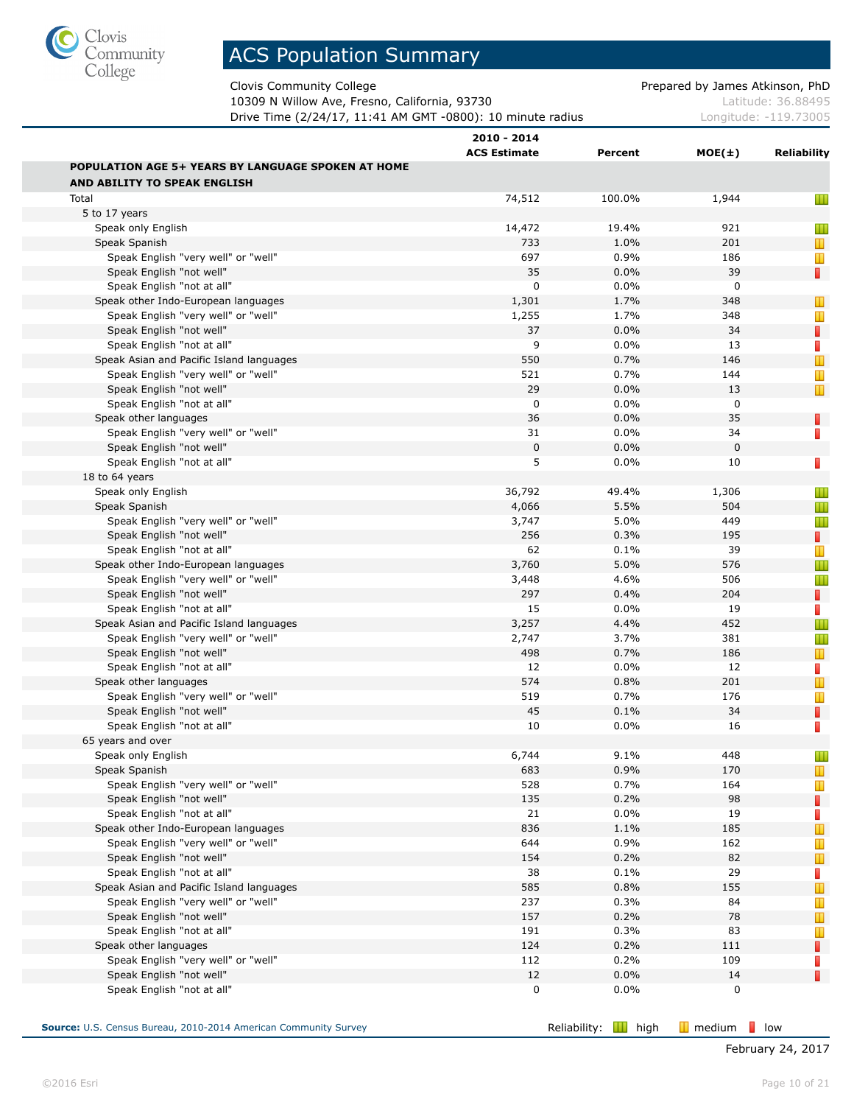

Clovis Community College **Prepared by James Atkinson, PhD** 

10309 N Willow Ave, Fresno, California, 93730 Material Control 2010 Matte 26.88495 **Drive Time (2/24/17, 11:41 AM GMT -0800): 10 minute radius Longitude: -119.73005** 

|                                                           | 2010 - 2014<br><b>ACS Estimate</b> | Percent | $MOE(\pm)$   | Reliability                                                                         |
|-----------------------------------------------------------|------------------------------------|---------|--------------|-------------------------------------------------------------------------------------|
| <b>POPULATION AGE 5+ YEARS BY LANGUAGE SPOKEN AT HOME</b> |                                    |         |              |                                                                                     |
| AND ABILITY TO SPEAK ENGLISH                              |                                    |         |              |                                                                                     |
| Total                                                     | 74,512                             | 100.0%  | 1,944        | Ш                                                                                   |
| 5 to 17 years                                             |                                    |         |              |                                                                                     |
| Speak only English                                        | 14,472                             | 19.4%   | 921          | Ш                                                                                   |
| Speak Spanish                                             | 733                                | 1.0%    | 201          | $\mathbf{\mathbf{\mathbf{\mathbf{\mathbf{\mathbf{\mathbf{\mathbf{\mathbf{I}}}}}}}}$ |
| Speak English "very well" or "well"                       | 697                                | 0.9%    | 186          | Ш                                                                                   |
| Speak English "not well"                                  | 35                                 | 0.0%    | 39           | П                                                                                   |
| Speak English "not at all"                                | 0                                  | 0.0%    | 0            |                                                                                     |
| Speak other Indo-European languages                       | 1,301                              | 1.7%    | 348          | Ш                                                                                   |
| Speak English "very well" or "well"                       | 1,255                              | 1.7%    | 348          | Ш                                                                                   |
| Speak English "not well"                                  | 37                                 | 0.0%    | 34           | П                                                                                   |
| Speak English "not at all"                                | 9                                  | 0.0%    | 13           | $\Box$                                                                              |
| Speak Asian and Pacific Island languages                  | 550                                | 0.7%    | 146          | $\mathbb T$                                                                         |
| Speak English "very well" or "well"                       | 521                                | 0.7%    | 144          | Ш                                                                                   |
| Speak English "not well"                                  | 29                                 | 0.0%    | 13           | T                                                                                   |
| Speak English "not at all"                                | 0                                  | 0.0%    | 0            |                                                                                     |
| Speak other languages                                     | 36                                 | 0.0%    | 35           | Π                                                                                   |
| Speak English "very well" or "well"                       | 31                                 | 0.0%    | 34           | П                                                                                   |
| Speak English "not well"                                  | $\mathbf 0$                        | 0.0%    | $\mathbf{0}$ |                                                                                     |
| Speak English "not at all"                                | 5                                  | 0.0%    | 10           | П                                                                                   |
| 18 to 64 years                                            |                                    |         |              |                                                                                     |
| Speak only English                                        | 36,792                             | 49.4%   | 1,306        | ш                                                                                   |
| Speak Spanish                                             | 4,066                              | 5.5%    | 504          | Ш                                                                                   |
| Speak English "very well" or "well"                       | 3,747                              | 5.0%    | 449          | Ш                                                                                   |
| Speak English "not well"                                  | 256                                | 0.3%    | 195          | Π                                                                                   |
| Speak English "not at all"                                | 62                                 | 0.1%    | 39           | Ш                                                                                   |
| Speak other Indo-European languages                       | 3,760                              | 5.0%    | 576          | Ш                                                                                   |
| Speak English "very well" or "well"                       | 3,448                              | 4.6%    | 506          | Ш                                                                                   |
| Speak English "not well"                                  | 297                                | 0.4%    | 204          | $\Box$                                                                              |
| Speak English "not at all"                                | 15                                 | 0.0%    | 19           | П                                                                                   |
| Speak Asian and Pacific Island languages                  | 3,257                              | 4.4%    | 452          | Ш                                                                                   |
| Speak English "very well" or "well"                       | 2,747                              | 3.7%    | 381          | Ш                                                                                   |
| Speak English "not well"                                  | 498                                | 0.7%    | 186          | Т                                                                                   |
| Speak English "not at all"                                | 12                                 | 0.0%    | 12           | П                                                                                   |
| Speak other languages                                     | 574                                | 0.8%    | 201          | $\mathbb T$                                                                         |
| Speak English "very well" or "well"                       | 519                                | 0.7%    | 176          | Ш                                                                                   |
| Speak English "not well"                                  | 45                                 | 0.1%    | 34           | П                                                                                   |
| Speak English "not at all"                                | 10                                 | 0.0%    | 16           | П                                                                                   |
| 65 years and over                                         |                                    |         |              |                                                                                     |
| Speak only English                                        | 6,744                              | 9.1%    | 448          | Ш                                                                                   |
| Speak Spanish                                             | 683                                | 0.9%    | 170          | т                                                                                   |
| Speak English "very well" or "well"                       | 528                                | 0.7%    | 164          | Ш                                                                                   |
| Speak English "not well"                                  | 135                                | 0.2%    | 98           | П                                                                                   |
| Speak English "not at all"                                | 21                                 | $0.0\%$ | 19           | П                                                                                   |
| Speak other Indo-European languages                       | 836                                | 1.1%    | 185          | $\mathbb T$                                                                         |
| Speak English "very well" or "well"                       | 644                                | 0.9%    | 162          | Т                                                                                   |
| Speak English "not well"                                  | 154                                | 0.2%    | 82           | T                                                                                   |
| Speak English "not at all"                                | 38                                 | 0.1%    | 29           | П                                                                                   |
| Speak Asian and Pacific Island languages                  | 585                                | 0.8%    | 155          | $\mathbb T$                                                                         |
| Speak English "very well" or "well"                       | 237                                | 0.3%    | 84           | Т                                                                                   |
| Speak English "not well"                                  | 157                                | 0.2%    | 78           | Т                                                                                   |
| Speak English "not at all"                                | 191                                | 0.3%    | 83           | Ш                                                                                   |
| Speak other languages                                     | 124                                | 0.2%    | 111          | П                                                                                   |
| Speak English "very well" or "well"                       | 112                                | 0.2%    | 109          | П                                                                                   |
| Speak English "not well"                                  | 12                                 | 0.0%    | 14           | П                                                                                   |
| Speak English "not at all"                                | 0                                  | $0.0\%$ | 0            |                                                                                     |
|                                                           |                                    |         |              |                                                                                     |

**Source:** U.S. Census Bureau, 2010-2014 American Community Survey **Reliability: Reliability: III** high **III** medium **l**ow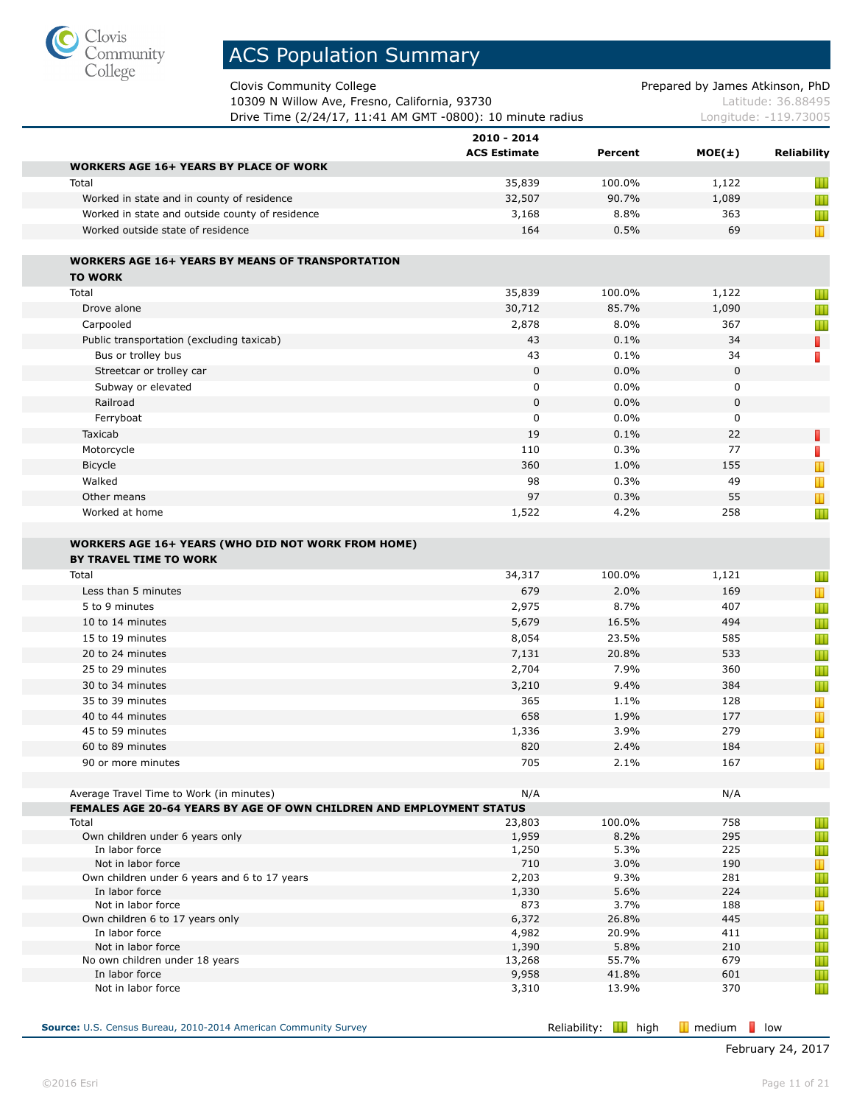

Clovis Community College **Prepared by James Atkinson**, PhD

10309 N Willow Ave, Fresno, California, 93730 Material Control 2010 Matte 26.88495 **Drive Time (2/24/17, 11:41 AM GMT -0800): 10 minute radius** Longitude: -119.73005

| Latitude: 36.8849    |  |
|----------------------|--|
| Longitude: -119 7300 |  |

|                                                                                            | 2010 - 2014<br><b>ACS Estimate</b> | Percent        | $MOE(\pm)$  | Reliability                                                                                       |
|--------------------------------------------------------------------------------------------|------------------------------------|----------------|-------------|---------------------------------------------------------------------------------------------------|
| <b>WORKERS AGE 16+ YEARS BY PLACE OF WORK</b>                                              |                                    |                |             |                                                                                                   |
| Total                                                                                      | 35,839                             | 100.0%         | 1,122       | Ш                                                                                                 |
| Worked in state and in county of residence                                                 | 32,507                             | 90.7%          | 1,089       | Ш                                                                                                 |
| Worked in state and outside county of residence                                            | 3,168                              | 8.8%           | 363         | Ш                                                                                                 |
| Worked outside state of residence                                                          | 164                                | 0.5%           | 69          | Ш                                                                                                 |
| <b>WORKERS AGE 16+ YEARS BY MEANS OF TRANSPORTATION</b>                                    |                                    |                |             |                                                                                                   |
| <b>TO WORK</b>                                                                             |                                    |                |             |                                                                                                   |
| Total                                                                                      | 35,839                             | 100.0%         | 1,122       | Ш                                                                                                 |
| Drove alone                                                                                | 30,712                             | 85.7%          | 1,090       | Ш                                                                                                 |
| Carpooled                                                                                  | 2,878                              | 8.0%           | 367         | Ш                                                                                                 |
| Public transportation (excluding taxicab)                                                  | 43                                 | 0.1%           | 34          | П                                                                                                 |
| Bus or trolley bus                                                                         | 43                                 | 0.1%           | 34          | $\Box$                                                                                            |
| Streetcar or trolley car                                                                   | $\mathbf 0$                        | 0.0%           | $\mathbf 0$ |                                                                                                   |
| Subway or elevated                                                                         | 0                                  | $0.0\%$        | 0           |                                                                                                   |
| Railroad                                                                                   | $\mathbf{0}$                       | 0.0%           | $\mathbf 0$ |                                                                                                   |
| Ferryboat                                                                                  | 0                                  | 0.0%           | 0           |                                                                                                   |
| Taxicab                                                                                    | 19                                 | 0.1%           | 22          | П                                                                                                 |
| Motorcycle                                                                                 | 110                                | 0.3%           | 77          | П                                                                                                 |
| Bicycle                                                                                    | 360                                | 1.0%           | 155         | Т                                                                                                 |
| Walked                                                                                     | 98                                 | 0.3%           | 49          | Т                                                                                                 |
| Other means                                                                                | 97                                 | 0.3%           | 55          | $\mathbb T$                                                                                       |
| Worked at home                                                                             | 1,522                              | 4.2%           | 258         | Ш                                                                                                 |
| <b>WORKERS AGE 16+ YEARS (WHO DID NOT WORK FROM HOME)</b><br><b>BY TRAVEL TIME TO WORK</b> |                                    |                |             |                                                                                                   |
| Total                                                                                      | 34,317                             | 100.0%         | 1,121       | Ш                                                                                                 |
| Less than 5 minutes                                                                        | 679                                | 2.0%           | 169         | $\mathbf T$                                                                                       |
| 5 to 9 minutes                                                                             | 2,975                              | 8.7%           | 407         | Ш                                                                                                 |
| 10 to 14 minutes                                                                           | 5,679                              | 16.5%          | 494         | Ш                                                                                                 |
| 15 to 19 minutes                                                                           | 8,054                              | 23.5%          | 585         | Ш                                                                                                 |
| 20 to 24 minutes                                                                           | 7,131                              | 20.8%          | 533         | Ш                                                                                                 |
| 25 to 29 minutes                                                                           | 2,704                              | 7.9%           | 360         | Ш                                                                                                 |
| 30 to 34 minutes                                                                           | 3,210                              | 9.4%           | 384         | Ш                                                                                                 |
| 35 to 39 minutes                                                                           | 365                                | 1.1%           | 128         | Ш                                                                                                 |
| 40 to 44 minutes<br>45 to 59 minutes                                                       | 658                                | 1.9%           | 177         | Т                                                                                                 |
|                                                                                            | 1,336                              | 3.9%           | 279         | T                                                                                                 |
| 60 to 89 minutes<br>90 or more minutes                                                     | 820<br>705                         | 2.4%<br>2.1%   | 184<br>167  | $\mathbf{\mathbf{\mathbf{\mathbf{\mathbf{\mathbf{\mathbf{\mathbf{\mathbf{\mathbf{I}}}}}}}}}$<br>T |
|                                                                                            |                                    |                |             |                                                                                                   |
| Average Travel Time to Work (in minutes)                                                   | N/A                                |                | N/A         |                                                                                                   |
| FEMALES AGE 20-64 YEARS BY AGE OF OWN CHILDREN AND EMPLOYMENT STATUS<br>Total              | 23,803                             | 100.0%         | 758         | Ш                                                                                                 |
| Own children under 6 years only                                                            | 1,959                              | 8.2%           | 295         | Ш                                                                                                 |
| In labor force                                                                             | 1,250                              | 5.3%           | 225         | Ш                                                                                                 |
| Not in labor force                                                                         | 710                                | 3.0%           | 190         | Ш                                                                                                 |
| Own children under 6 years and 6 to 17 years                                               | 2,203                              | 9.3%           | 281         | Ш                                                                                                 |
| In labor force                                                                             | 1,330                              | 5.6%           | 224         | Ш                                                                                                 |
| Not in labor force                                                                         | 873                                | 3.7%           | 188         | Ш                                                                                                 |
|                                                                                            | 6,372                              | 26.8%          | 445         | Ш                                                                                                 |
| Own children 6 to 17 years only                                                            |                                    |                |             | Ш                                                                                                 |
| In labor force                                                                             | 4,982                              | 20.9%          | 411         |                                                                                                   |
| Not in labor force                                                                         | 1,390                              | 5.8%           | 210         | Ш                                                                                                 |
| No own children under 18 years<br>In labor force                                           | 13,268<br>9,958                    | 55.7%<br>41.8% | 679<br>601  | Ш<br>Ш                                                                                            |

**Source:** U.S. Census Bureau, 2010-2014 American Community Survey **Reliability: Reliability: III** high **III** medium **l**ow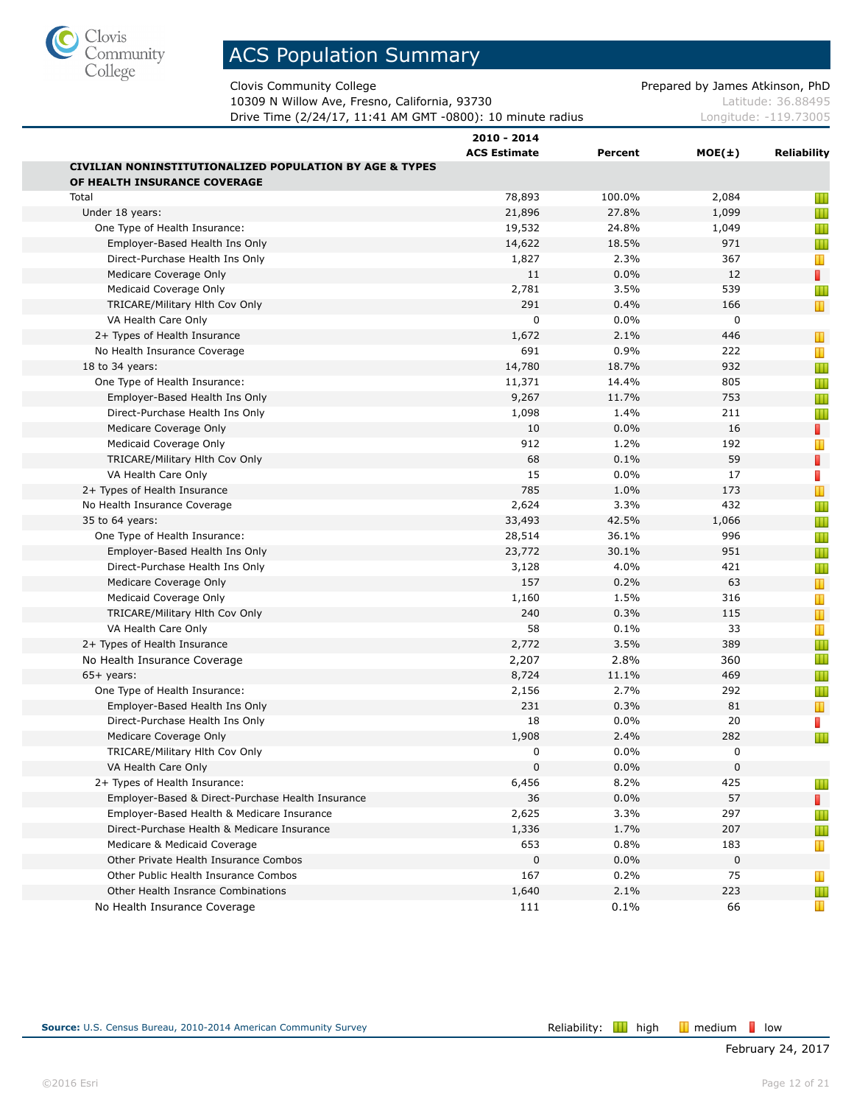

Clovis Community College **Prepared by James Atkinson, PhD** 

10309 N Willow Ave, Fresno, California, 93730 Material Control 2010 Matte 26.88495 Drive Time (2/24/17, 11:41 AM GMT -0800): 10 minute radius Longitude: -119.73005

|                                                                    | 2010 - 2014         |         |             |                |
|--------------------------------------------------------------------|---------------------|---------|-------------|----------------|
|                                                                    | <b>ACS Estimate</b> | Percent | $MOE(\pm)$  | Reliability    |
| <b>CIVILIAN NONINSTITUTIONALIZED POPULATION BY AGE &amp; TYPES</b> |                     |         |             |                |
| OF HEALTH INSURANCE COVERAGE                                       |                     |         |             |                |
| Total                                                              | 78,893              | 100.0%  | 2,084       | Ш              |
| Under 18 years:                                                    | 21,896              | 27.8%   | 1,099       | Ш              |
| One Type of Health Insurance:                                      | 19,532              | 24.8%   | 1,049       | Ш              |
| Employer-Based Health Ins Only                                     | 14,622              | 18.5%   | 971         | Ш              |
| Direct-Purchase Health Ins Only                                    | 1,827               | 2.3%    | 367         | Ш              |
| Medicare Coverage Only                                             | 11                  | 0.0%    | 12          | П              |
| Medicaid Coverage Only                                             | 2,781               | 3.5%    | 539         | Ш              |
| TRICARE/Military Hith Cov Only                                     | 291                 | 0.4%    | 166         | $\mathbf T$    |
| VA Health Care Only                                                | 0                   | 0.0%    | 0           |                |
| 2+ Types of Health Insurance                                       | 1,672               | 2.1%    | 446         | Ш              |
| No Health Insurance Coverage                                       | 691                 | 0.9%    | 222         | Ш              |
| 18 to 34 years:                                                    | 14,780              | 18.7%   | 932         | Ш              |
| One Type of Health Insurance:                                      | 11,371              | 14.4%   | 805         | Ш              |
| Employer-Based Health Ins Only                                     | 9,267               | 11.7%   | 753         | Ш              |
| Direct-Purchase Health Ins Only                                    | 1,098               | 1.4%    | 211         | Ш              |
| Medicare Coverage Only                                             | 10                  | 0.0%    | 16          | П              |
| Medicaid Coverage Only                                             | 912                 | 1.2%    | 192         | Ш              |
| TRICARE/Military Hith Cov Only                                     | 68                  | 0.1%    | 59          | П              |
| VA Health Care Only                                                | 15                  | 0.0%    | 17          | $\Box$         |
| 2+ Types of Health Insurance                                       | 785                 | 1.0%    | 173         | Ш              |
| No Health Insurance Coverage                                       | 2,624               | 3.3%    | 432         | Ш              |
| 35 to 64 years:                                                    | 33,493              | 42.5%   | 1,066       | Ш              |
| One Type of Health Insurance:                                      | 28,514              | 36.1%   | 996         | Ш              |
| Employer-Based Health Ins Only                                     | 23,772              | 30.1%   | 951         | Ш              |
| Direct-Purchase Health Ins Only                                    | 3,128               | 4.0%    | 421         | Ш              |
| Medicare Coverage Only                                             | 157                 | 0.2%    | 63          | $\blacksquare$ |
| Medicaid Coverage Only                                             | 1,160               | 1.5%    | 316         | Ш              |
| TRICARE/Military Hith Cov Only                                     | 240                 | 0.3%    | 115         | $\mathbb T$    |
| VA Health Care Only                                                | 58                  | 0.1%    | 33          | Ш              |
| 2+ Types of Health Insurance                                       | 2,772               | 3.5%    | 389         | Ш              |
| No Health Insurance Coverage                                       | 2,207               | 2.8%    | 360         | Ш              |
| $65+$ years:                                                       | 8,724               | 11.1%   | 469         | Ш              |
| One Type of Health Insurance:                                      | 2,156               | 2.7%    | 292         | Ш              |
| Employer-Based Health Ins Only                                     | 231                 | 0.3%    | 81          | Ш              |
| Direct-Purchase Health Ins Only                                    | 18                  | 0.0%    | 20          | П              |
| Medicare Coverage Only                                             | 1,908               | 2.4%    | 282         | Ш              |
| TRICARE/Military Hith Cov Only                                     | 0                   | $0.0\%$ | 0           |                |
| VA Health Care Only                                                | 0                   | 0.0%    | 0           |                |
| 2+ Types of Health Insurance:                                      | 6,456               | 8.2%    | 425         | Ш              |
| Employer-Based & Direct-Purchase Health Insurance                  | 36                  | 0.0%    | 57          | п              |
| Employer-Based Health & Medicare Insurance                         | 2,625               | 3.3%    | 297         | Ш              |
| Direct-Purchase Health & Medicare Insurance                        | 1,336               | 1.7%    | 207         | Ш              |
| Medicare & Medicaid Coverage                                       | 653                 | 0.8%    | 183         | Ш              |
| Other Private Health Insurance Combos                              | $\mathbf 0$         | 0.0%    | $\mathbf 0$ |                |
| Other Public Health Insurance Combos                               | 167                 | 0.2%    | 75          | Ш              |
| Other Health Insrance Combinations                                 | 1,640               | 2.1%    | 223         | Ш              |
| No Health Insurance Coverage                                       | 111                 | 0.1%    | 66          | Ш              |
|                                                                    |                     |         |             |                |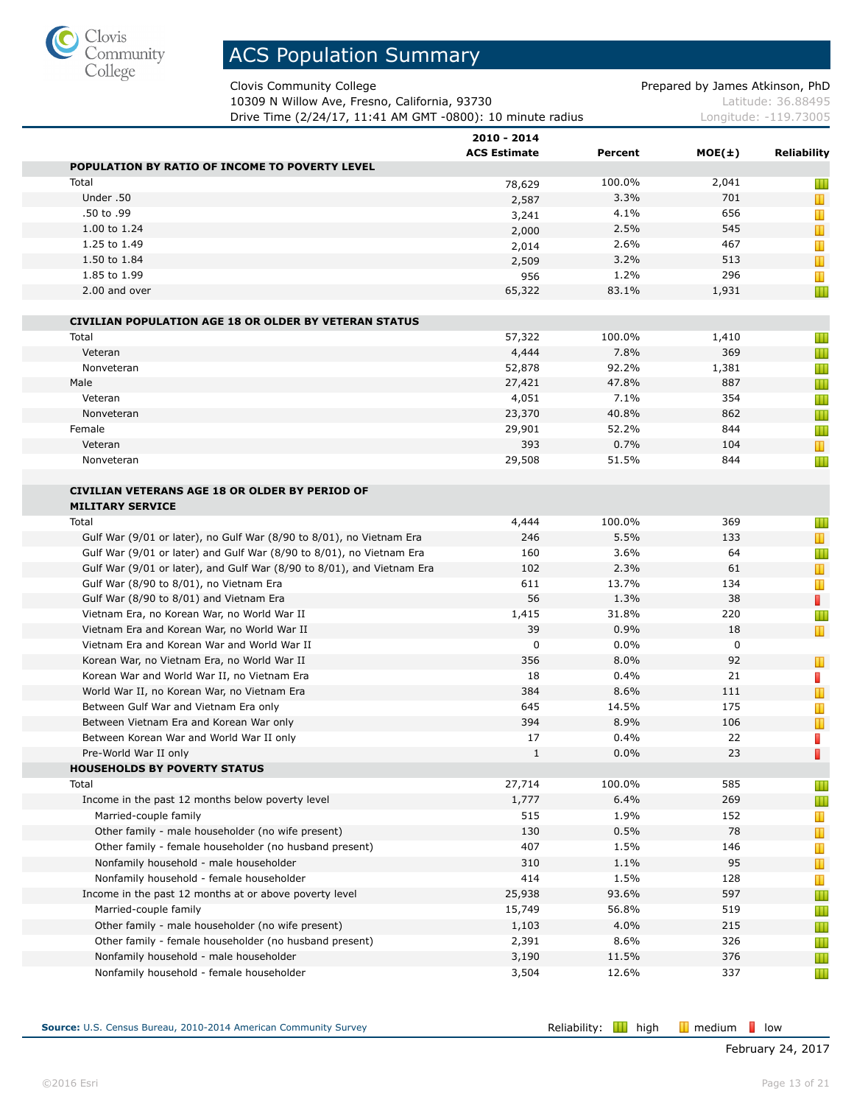

Clovis Community College **Prepared by James Atkinson, PhD** 

10309 N Willow Ave, Fresno, California, 93730 Material Control 2010 Matte 26.88495 **Drive Time (2/24/17, 11:41 AM GMT -0800): 10 minute radius Longitude: -119.73005** 

| 2010 - 2014<br><b>ACS Estimate</b> | Percent |       | <b>Reliability</b>                                                                                   |
|------------------------------------|---------|-------|------------------------------------------------------------------------------------------------------|
|                                    |         |       |                                                                                                      |
| 78,629                             | 100.0%  | 2,041 | Ш                                                                                                    |
| 2,587                              | 3.3%    | 701   | $\mathbf T$                                                                                          |
| 3,241                              | 4.1%    | 656   | Ш                                                                                                    |
| 2,000                              | 2.5%    | 545   | T                                                                                                    |
| 2,014                              | 2.6%    | 467   | T                                                                                                    |
| 2,509                              | 3.2%    | 513   | T                                                                                                    |
| 956                                | 1.2%    | 296   | Ш                                                                                                    |
| 65,322                             | 83.1%   | 1,931 | Ш                                                                                                    |
|                                    |         |       |                                                                                                      |
| 57,322                             | 100.0%  | 1,410 | Ш                                                                                                    |
| 4,444                              | 7.8%    | 369   | Ш                                                                                                    |
| 52,878                             | 92.2%   | 1,381 | Ш                                                                                                    |
| 27,421                             | 47.8%   | 887   | Ш                                                                                                    |
| 4,051                              | 7.1%    | 354   | Ш                                                                                                    |
| 23,370                             | 40.8%   | 862   | Ш                                                                                                    |
| 29,901                             | 52.2%   | 844   | Ш                                                                                                    |
| 393                                | 0.7%    | 104   | T                                                                                                    |
| 29,508                             | 51.5%   | 844   | Ш                                                                                                    |
|                                    |         |       |                                                                                                      |
|                                    | 100.0%  | 369   | Ш                                                                                                    |
| 246                                | 5.5%    | 133   | $\mathbb T$                                                                                          |
| 160                                | 3.6%    | 64    | Ш                                                                                                    |
| 102                                | 2.3%    | 61    | T                                                                                                    |
| 611                                | 13.7%   | 134   | Ш                                                                                                    |
| 56                                 | 1.3%    | 38    | П                                                                                                    |
| 1,415                              | 31.8%   | 220   | Ш                                                                                                    |
| 39                                 | 0.9%    | 18    | Ш                                                                                                    |
| 0                                  | 0.0%    | 0     |                                                                                                      |
| 356                                | 8.0%    | 92    | T                                                                                                    |
| 18                                 | 0.4%    | 21    | п                                                                                                    |
| 384                                | 8.6%    | 111   | T                                                                                                    |
| 645                                | 14.5%   | 175   | T                                                                                                    |
| 394                                | 8.9%    | 106   | Т                                                                                                    |
| 17                                 | 0.4%    | 22    | D                                                                                                    |
| 1                                  | 0.0%    | 23    | I.                                                                                                   |
|                                    |         |       |                                                                                                      |
| 27,714                             | 100.0%  | 585   | Ш                                                                                                    |
| 1,777                              | 6.4%    | 269   | Ш                                                                                                    |
| 515                                | 1.9%    | 152   | T                                                                                                    |
| 130                                | 0.5%    | 78    | $\mathbf{\mathbf{\mathbf{\mathbf{\mathbf{\mathbf{\mathbf{\mathbf{\mathbf{\mathbf{\mathbf{I}}}}}}}}}$ |
| 407                                | 1.5%    | 146   | Ш                                                                                                    |
| 310                                | 1.1%    | 95    | Ш                                                                                                    |
| 414                                | 1.5%    | 128   | T                                                                                                    |
| 25,938                             | 93.6%   | 597   | Ш                                                                                                    |
| 15,749                             | 56.8%   | 519   | Ш                                                                                                    |
| 1,103                              | 4.0%    | 215   | Ш                                                                                                    |
| 2,391                              | 8.6%    | 326   | Ш                                                                                                    |
| 3,190                              | 11.5%   | 376   | Ш                                                                                                    |
| 3,504                              | 12.6%   | 337   | Ш                                                                                                    |
|                                    | 4,444   |       | $MOE(\pm)$                                                                                           |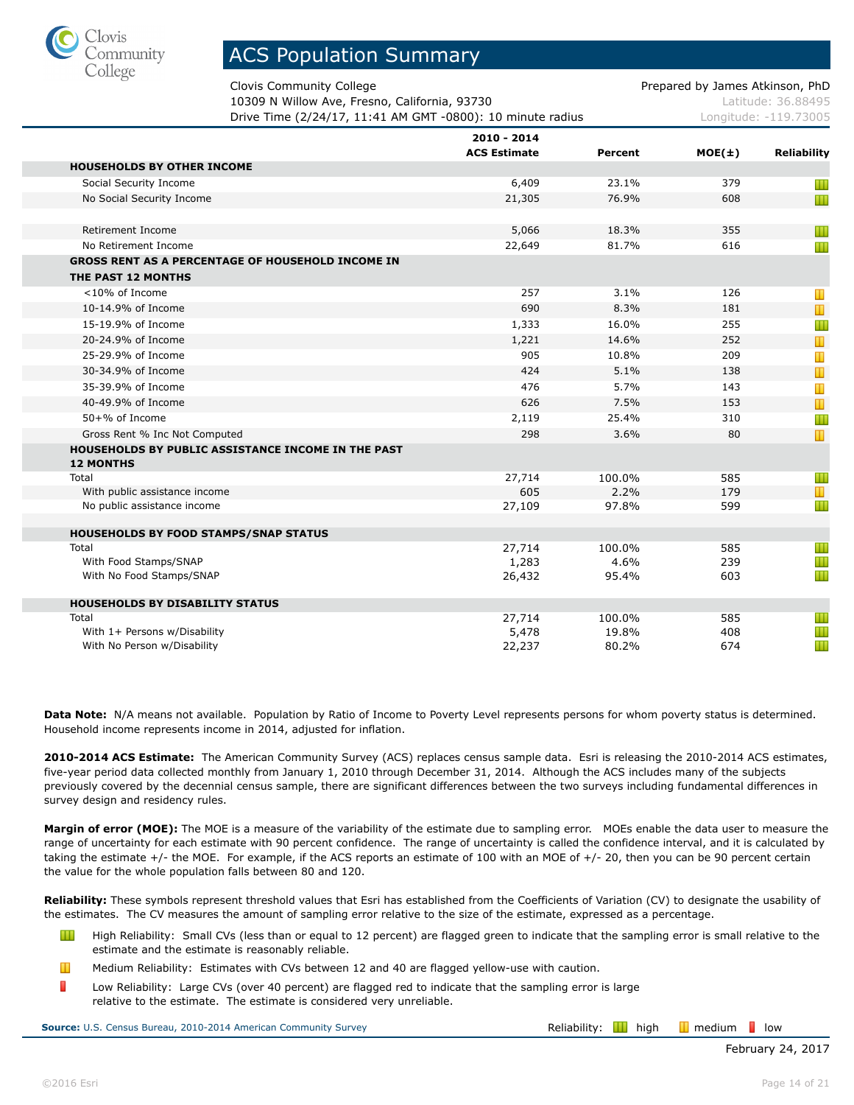

Clovis Community College **Prepared by James Atkinson, PhD** Prepared by James Atkinson, PhD

10309 N Willow Ave, Fresno, California, 93730 March 2010 10309 N Latitude: 36.88495 **Drive Time (2/24/17, 11:41 AM GMT -0800): 10 minute radius** Longitude: -119.73005

|                                                          | 2010 - 2014<br><b>ACS Estimate</b> | Percent | $MOE(\pm)$ | <b>Reliability</b> |
|----------------------------------------------------------|------------------------------------|---------|------------|--------------------|
| <b>HOUSEHOLDS BY OTHER INCOME</b>                        |                                    |         |            |                    |
| Social Security Income                                   | 6,409                              | 23.1%   | 379        | Ш                  |
| No Social Security Income                                | 21,305                             | 76.9%   | 608        | Ш                  |
|                                                          |                                    |         |            |                    |
| Retirement Income                                        | 5,066                              | 18.3%   | 355        | Ш                  |
| No Retirement Income                                     | 22,649                             | 81.7%   | 616        | W                  |
| <b>GROSS RENT AS A PERCENTAGE OF HOUSEHOLD INCOME IN</b> |                                    |         |            |                    |
| THE PAST 12 MONTHS                                       |                                    |         |            |                    |
| <10% of Income                                           | 257                                | 3.1%    | 126        | Ш                  |
| 10-14.9% of Income                                       | 690                                | 8.3%    | 181        | $\mathbf T$        |
| 15-19.9% of Income                                       | 1,333                              | 16.0%   | 255        | Ш                  |
| 20-24.9% of Income                                       | 1,221                              | 14.6%   | 252        | Т                  |
| 25-29.9% of Income                                       | 905                                | 10.8%   | 209        | T                  |
| 30-34.9% of Income                                       | 424                                | 5.1%    | 138        | Т                  |
| 35-39.9% of Income                                       | 476                                | 5.7%    | 143        | Т                  |
| 40-49.9% of Income                                       | 626                                | 7.5%    | 153        | $\mathbf T$        |
| 50+% of Income                                           | 2,119                              | 25.4%   | 310        | Ш                  |
| Gross Rent % Inc Not Computed                            | 298                                | 3.6%    | 80         | Ш                  |
| HOUSEHOLDS BY PUBLIC ASSISTANCE INCOME IN THE PAST       |                                    |         |            |                    |
| <b>12 MONTHS</b>                                         |                                    |         |            |                    |
| Total                                                    | 27,714                             | 100.0%  | 585        | Ш                  |
| With public assistance income                            | 605                                | 2.2%    | 179        | T                  |
| No public assistance income                              | 27,109                             | 97.8%   | 599        | Ш                  |
| <b>HOUSEHOLDS BY FOOD STAMPS/SNAP STATUS</b>             |                                    |         |            |                    |
| Total                                                    | 27,714                             | 100.0%  | 585        | Ш                  |
| With Food Stamps/SNAP                                    | 1,283                              | 4.6%    | 239        | Ш                  |
| With No Food Stamps/SNAP                                 | 26,432                             | 95.4%   | 603        | Ш                  |
|                                                          |                                    |         |            |                    |
| <b>HOUSEHOLDS BY DISABILITY STATUS</b>                   |                                    |         |            |                    |
| Total                                                    | 27,714                             | 100.0%  | 585        | Ш                  |
| With 1+ Persons w/Disability                             | 5,478                              | 19.8%   | 408        | Ш                  |
| With No Person w/Disability                              | 22,237                             | 80.2%   | 674        | Ш                  |

**Data Note:** N/A means not available. Population by Ratio of Income to Poverty Level represents persons for whom poverty status is determined. Household income represents income in 2014, adjusted for inflation.

**2010-2014 ACS Estimate:** The American Community Survey (ACS) replaces census sample data. Esri is releasing the 2010-2014 ACS estimates, five-year period data collected monthly from January 1, 2010 through December 31, 2014. Although the ACS includes many of the subjects previously covered by the decennial census sample, there are significant differences between the two surveys including fundamental differences in survey design and residency rules.

**Margin of error (MOE):** The MOE is a measure of the variability of the estimate due to sampling error. MOEs enable the data user to measure the range of uncertainty for each estimate with 90 percent confidence. The range of uncertainty is called the confidence interval, and it is calculated by taking the estimate +/- the MOE. For example, if the ACS reports an estimate of 100 with an MOE of +/- 20, then you can be 90 percent certain the value for the whole population falls between 80 and 120.

**Reliability:** These symbols represent threshold values that Esri has established from the Coefficients of Variation (CV) to designate the usability of the estimates. The CV measures the amount of sampling error relative to the size of the estimate, expressed as a percentage.

- Ш High Reliability: Small CVs (less than or equal to 12 percent) are flagged green to indicate that the sampling error is small relative to the estimate and the estimate is reasonably reliable.
- Ш Medium Reliability: Estimates with CVs between 12 and 40 are flagged yellow-use with caution.
- П Low Reliability: Large CVs (over 40 percent) are flagged red to indicate that the sampling error is large relative to the estimate. The estimate is considered very unreliable.

**Source:** U.S. Census Bureau, 2010-2014 American Community Survey **Relaction Survey Reliability: H** high **I** medium **l** low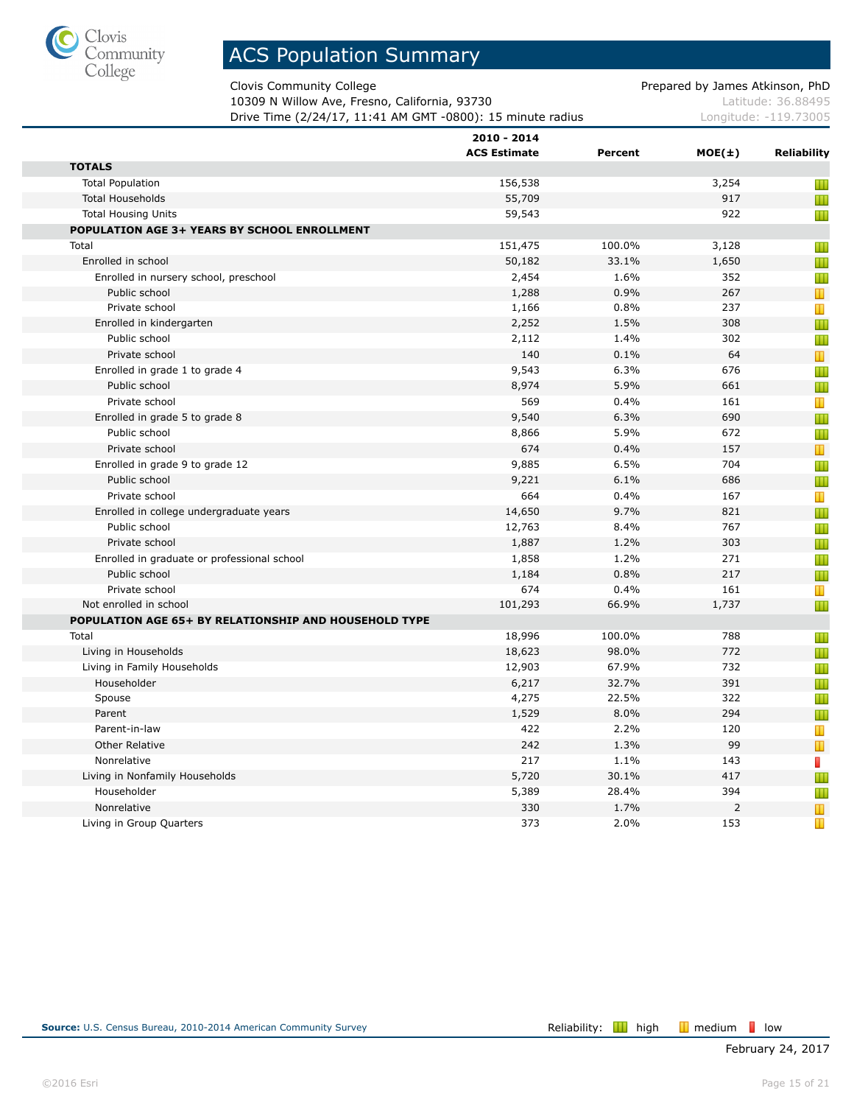

Clovis Community College **Prepared by James Atkinson, PhD** 

10309 N Willow Ave, Fresno, California, 93730 Material Control 2010 Matte 26.88495 **Drive Time (2/24/17, 11:41 AM GMT -0800): 15 minute radius Longitude: -119.73005** 

|                                                       | 2010 - 2014         |         |            |                                         |
|-------------------------------------------------------|---------------------|---------|------------|-----------------------------------------|
|                                                       | <b>ACS Estimate</b> | Percent | $MOE(\pm)$ | <b>Reliability</b>                      |
| <b>TOTALS</b>                                         |                     |         |            |                                         |
| <b>Total Population</b>                               | 156,538             |         | 3,254      | Ш                                       |
| <b>Total Households</b>                               | 55,709              |         | 917        | Ш                                       |
| <b>Total Housing Units</b>                            | 59,543              |         | 922        | Ш                                       |
| POPULATION AGE 3+ YEARS BY SCHOOL ENROLLMENT          |                     |         |            |                                         |
| Total                                                 | 151,475             | 100.0%  | 3,128      | Ш                                       |
| Enrolled in school                                    | 50,182              | 33.1%   | 1,650      | Ш                                       |
| Enrolled in nursery school, preschool                 | 2,454               | 1.6%    | 352        | Ш                                       |
| Public school                                         | 1,288               | 0.9%    | 267        | $\mathbf{\mathbf{\mathbf{\mathsf{u}}}}$ |
| Private school                                        | 1,166               | 0.8%    | 237        | Т                                       |
| Enrolled in kindergarten                              | 2,252               | 1.5%    | 308        | Ш                                       |
| Public school                                         | 2,112               | 1.4%    | 302        | Ш                                       |
| Private school                                        | 140                 | 0.1%    | 64         | $\mathbf T$                             |
| Enrolled in grade 1 to grade 4                        | 9,543               | 6.3%    | 676        | Ш                                       |
| Public school                                         | 8,974               | 5.9%    | 661        | Ш                                       |
| Private school                                        | 569                 | 0.4%    | 161        | T                                       |
| Enrolled in grade 5 to grade 8                        | 9,540               | 6.3%    | 690        | Ш                                       |
| Public school                                         | 8,866               | 5.9%    | 672        | Ш                                       |
| Private school                                        | 674                 | 0.4%    | 157        | $\mathbf{\mathbf{\mathsf{u}}}$          |
| Enrolled in grade 9 to grade 12                       | 9,885               | 6.5%    | 704        | Ш                                       |
| Public school                                         | 9,221               | 6.1%    | 686        | Ш                                       |
| Private school                                        | 664                 | 0.4%    | 167        | Ш                                       |
| Enrolled in college undergraduate years               | 14,650              | 9.7%    | 821        | Ш                                       |
| Public school                                         | 12,763              | 8.4%    | 767        | Ш                                       |
| Private school                                        | 1,887               | 1.2%    | 303        | Ш                                       |
| Enrolled in graduate or professional school           | 1,858               | 1.2%    | 271        | Ш                                       |
| Public school                                         | 1,184               | 0.8%    | 217        | Ш                                       |
| Private school                                        | 674                 | 0.4%    | 161        | T                                       |
| Not enrolled in school                                | 101,293             | 66.9%   | 1,737      | Ш                                       |
| POPULATION AGE 65+ BY RELATIONSHIP AND HOUSEHOLD TYPE |                     |         |            |                                         |
| Total                                                 | 18,996              | 100.0%  | 788        | Ш                                       |
| Living in Households                                  | 18,623              | 98.0%   | 772        | Ш                                       |
| Living in Family Households                           | 12,903              | 67.9%   | 732        | Ш                                       |
| Householder                                           | 6,217               | 32.7%   | 391        | Ш                                       |
| Spouse                                                | 4,275               | 22.5%   | 322        | Ш                                       |
| Parent                                                | 1,529               | 8.0%    | 294        | Ш                                       |
| Parent-in-law                                         | 422                 | 2.2%    | 120        | T                                       |
| <b>Other Relative</b>                                 | 242                 | 1.3%    | 99         | T                                       |
| Nonrelative                                           | 217                 | 1.1%    | 143        | П                                       |
| Living in Nonfamily Households                        | 5,720               | 30.1%   | 417        | Ш                                       |
| Householder                                           | 5,389               | 28.4%   | 394        | Ш                                       |
| Nonrelative                                           | 330                 | 1.7%    | 2          | T                                       |
| Living in Group Quarters                              | 373                 | 2.0%    | 153        | T                                       |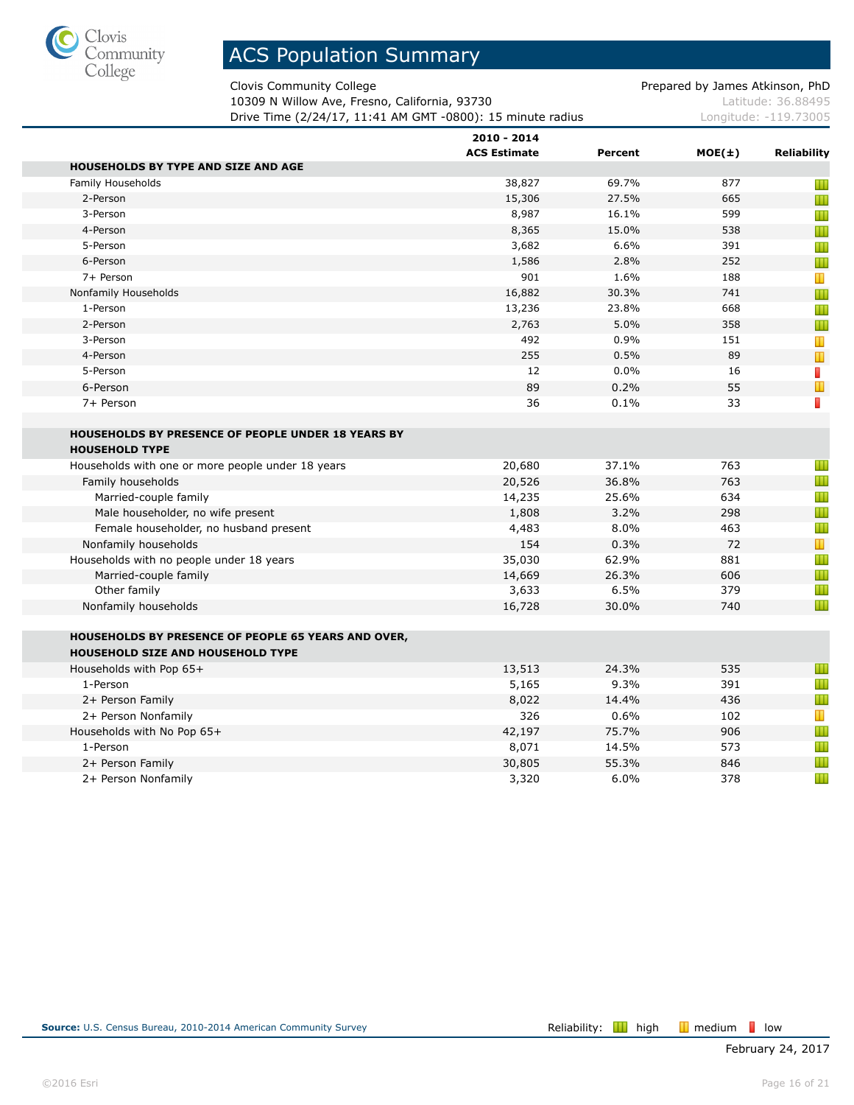

Clovis Community College **Prepared by James Atkinson, PhD** 

10309 N Willow Ave, Fresno, California, 93730 Material Society Australian Material Accords Latitude: 36.88495 Drive Time (2/24/17, 11:41 AM GMT -0800): 15 minute radius Longitude: -119.73005

|                                                            | 2010 - 2014         |         |            |             |
|------------------------------------------------------------|---------------------|---------|------------|-------------|
|                                                            | <b>ACS Estimate</b> | Percent | $MOE(\pm)$ | Reliability |
| <b>HOUSEHOLDS BY TYPE AND SIZE AND AGE</b>                 |                     |         |            |             |
| Family Households                                          | 38,827              | 69.7%   | 877        | Ш           |
| 2-Person                                                   | 15,306              | 27.5%   | 665        | Ш           |
| 3-Person                                                   | 8,987               | 16.1%   | 599        | Ш           |
| 4-Person                                                   | 8,365               | 15.0%   | 538        | Ш           |
| 5-Person                                                   | 3,682               | 6.6%    | 391        | Ш           |
| 6-Person                                                   | 1,586               | 2.8%    | 252        | Ш           |
| 7+ Person                                                  | 901                 | 1.6%    | 188        | T           |
| Nonfamily Households                                       | 16,882              | 30.3%   | 741        | Ш           |
| 1-Person                                                   | 13,236              | 23.8%   | 668        | Ш           |
| 2-Person                                                   | 2,763               | 5.0%    | 358        | Ш           |
| 3-Person                                                   | 492                 | 0.9%    | 151        | Т           |
| 4-Person                                                   | 255                 | 0.5%    | 89         | T           |
| 5-Person                                                   | 12                  | 0.0%    | 16         | П           |
| 6-Person                                                   | 89                  | 0.2%    | 55         | Ш           |
| 7+ Person                                                  | 36                  | 0.1%    | 33         | $\Box$      |
|                                                            |                     |         |            |             |
| <b>HOUSEHOLDS BY PRESENCE OF PEOPLE UNDER 18 YEARS BY</b>  |                     |         |            |             |
| <b>HOUSEHOLD TYPE</b>                                      |                     |         |            |             |
| Households with one or more people under 18 years          | 20,680              | 37.1%   | 763        | Ш           |
| Family households                                          | 20,526              | 36.8%   | 763        | Ш           |
| Married-couple family                                      | 14,235              | 25.6%   | 634        | Ш           |
| Male householder, no wife present                          | 1,808               | 3.2%    | 298        | Ш           |
| Female householder, no husband present                     | 4,483               | 8.0%    | 463        | Ш           |
| Nonfamily households                                       | 154                 | 0.3%    | 72         | Ш           |
| Households with no people under 18 years                   | 35,030              | 62.9%   | 881        | Ш           |
| Married-couple family                                      | 14,669              | 26.3%   | 606        | Ш           |
| Other family                                               | 3,633               | 6.5%    | 379        | Ш           |
| Nonfamily households                                       | 16,728              | 30.0%   | 740        | Ш           |
|                                                            |                     |         |            |             |
| <b>HOUSEHOLDS BY PRESENCE OF PEOPLE 65 YEARS AND OVER,</b> |                     |         |            |             |
| <b>HOUSEHOLD SIZE AND HOUSEHOLD TYPE</b>                   |                     |         |            |             |
| Households with Pop 65+                                    | 13,513              | 24.3%   | 535        | Ш           |
| 1-Person                                                   | 5,165               | 9.3%    | 391        | Ш           |
| 2+ Person Family                                           | 8,022               | 14.4%   | 436        | Ш           |
| 2+ Person Nonfamily                                        | 326                 | 0.6%    | 102        | Т           |
| Households with No Pop 65+                                 | 42,197              | 75.7%   | 906        | Ш           |
| 1-Person                                                   | 8,071               | 14.5%   | 573        | Ш           |
| 2+ Person Family                                           | 30,805              | 55.3%   | 846        | Ш           |
| 2+ Person Nonfamily                                        | 3,320               | 6.0%    | 378        | Ш           |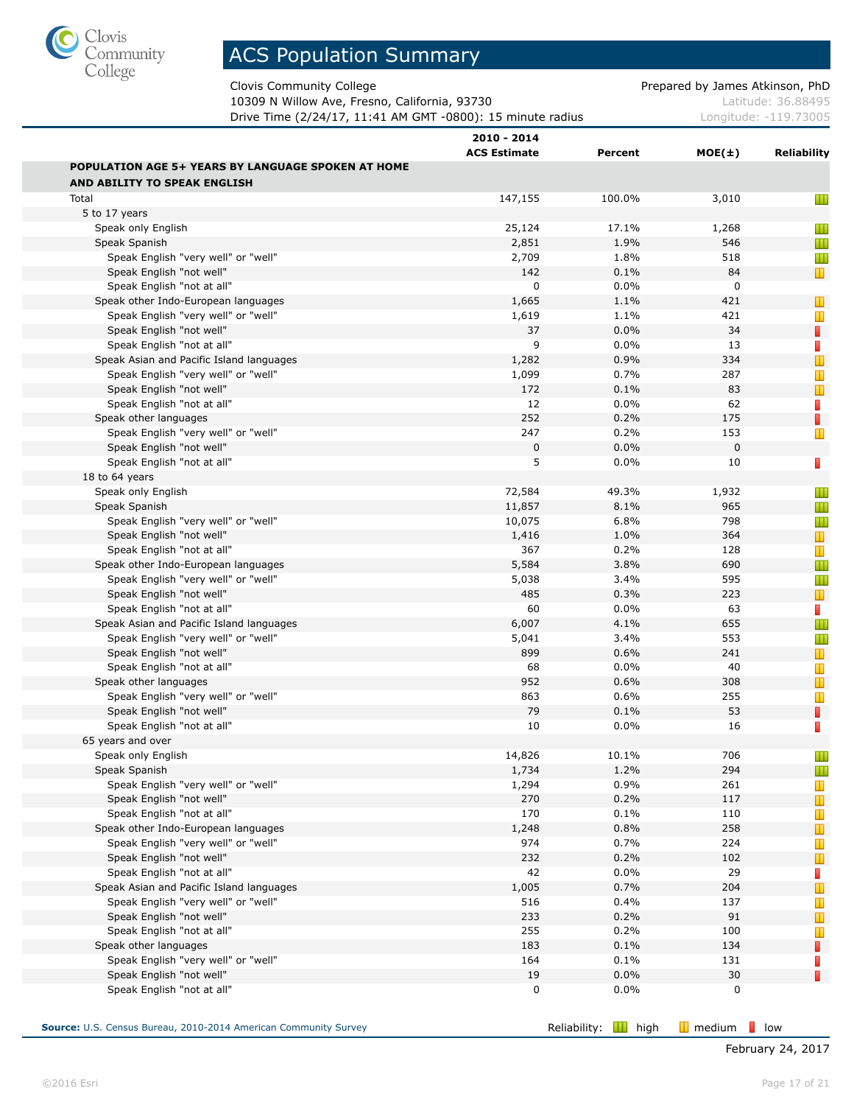

Clovis Community College **Prepared by James Atkinson, PhD** 

10309 N Willow Ave, Fresno, California, 93730 Material Society Australian Material Accords Latitude: 36.88495 Drive Time (2/24/17, 11:41 AM GMT -0800): 15 minute radius Longitude: -119.73005

|                                                           | 2010 - 2014<br><b>ACS Estimate</b> | Percent | $MOE(\pm)$  | Reliability |
|-----------------------------------------------------------|------------------------------------|---------|-------------|-------------|
| <b>POPULATION AGE 5+ YEARS BY LANGUAGE SPOKEN AT HOME</b> |                                    |         |             |             |
| AND ABILITY TO SPEAK ENGLISH                              |                                    |         |             |             |
| Total                                                     | 147,155                            | 100.0%  | 3,010       | Ш           |
| 5 to 17 years                                             |                                    |         |             |             |
| Speak only English                                        | 25,124                             | 17.1%   | 1,268       | Ш           |
| Speak Spanish                                             | 2,851                              | 1.9%    | 546         | Ш           |
| Speak English "very well" or "well"                       | 2,709                              | 1.8%    | 518         | Ш           |
| Speak English "not well"                                  | 142                                | 0.1%    | 84          | T           |
| Speak English "not at all"                                | 0                                  | 0.0%    | 0           |             |
| Speak other Indo-European languages                       | 1,665                              | 1.1%    | 421         | $\mathbb T$ |
| Speak English "very well" or "well"                       | 1,619                              | 1.1%    | 421         | Ш           |
| Speak English "not well"                                  | 37                                 | 0.0%    | 34          | П           |
| Speak English "not at all"                                | 9                                  | 0.0%    | 13          | F           |
| Speak Asian and Pacific Island languages                  | 1,282                              | 0.9%    | 334         |             |
| Speak English "very well" or "well"                       | 1,099                              | 0.7%    | 287         | Ш           |
| Speak English "not well"                                  | 172                                | 0.1%    | 83          | Т           |
| Speak English "not at all"                                | 12                                 | 0.0%    | 62          | F           |
| Speak other languages                                     | 252                                | 0.2%    | 175         | П           |
| Speak English "very well" or "well"                       | 247                                | 0.2%    | 153         | Ш           |
| Speak English "not well"                                  | 0                                  | 0.0%    | $\mathbf 0$ |             |
| Speak English "not at all"                                | 5                                  | 0.0%    | 10          | $\Box$      |
| 18 to 64 years                                            |                                    |         |             |             |
| Speak only English                                        | 72,584                             | 49.3%   | 1,932       | Ш           |
| Speak Spanish                                             | 11,857                             | 8.1%    | 965         | Ш           |
| Speak English "very well" or "well"                       | 10,075                             | 6.8%    | 798         | Ш           |
| Speak English "not well"                                  | 1,416                              | 1.0%    | 364         | T           |
| Speak English "not at all"                                | 367                                | 0.2%    | 128         | Т           |
| Speak other Indo-European languages                       | 5,584                              | 3.8%    | 690         | Ш           |
| Speak English "very well" or "well"                       | 5,038                              | 3.4%    | 595         | Ш           |
| Speak English "not well"                                  | 485                                | 0.3%    | 223         | Т           |
| Speak English "not at all"                                | 60                                 | 0.0%    | 63          | T,          |
| Speak Asian and Pacific Island languages                  | 6,007                              | 4.1%    | 655         | Ш           |
| Speak English "very well" or "well"                       | 5,041                              | 3.4%    | 553         | Ш           |
| Speak English "not well"                                  | 899                                | 0.6%    | 241         | Т           |
| Speak English "not at all"                                | 68                                 | 0.0%    | 40          | Ш           |
| Speak other languages                                     | 952                                | 0.6%    | 308         | T           |
| Speak English "very well" or "well"                       | 863                                | 0.6%    | 255         | Ш           |
| Speak English "not well"                                  | 79                                 | 0.1%    | 53          | П           |
| Speak English "not at all"                                | 10                                 | 0.0%    | 16          | $\Box$      |
| 65 years and over                                         |                                    |         |             |             |
| Speak only English                                        | 14,826                             | 10.1%   | 706         | Ш           |
| Speak Spanish                                             | 1,734                              | 1.2%    | 294         | Ш           |
| Speak English "very well" or "well"                       | 1,294                              | 0.9%    | 261         | Т           |
| Speak English "not well"                                  | 270                                | 0.2%    | 117         | Т           |
| Speak English "not at all"                                | 170                                | 0.1%    | 110         | Т           |
| Speak other Indo-European languages                       | 1,248                              | 0.8%    | 258         | Т           |
| Speak English "very well" or "well"                       | 974                                | 0.7%    | 224         | Ш           |
| Speak English "not well"                                  | 232                                | 0.2%    | 102         | T           |
| Speak English "not at all"                                | 42                                 | 0.0%    | 29          | П           |
| Speak Asian and Pacific Island languages                  | 1,005                              | 0.7%    | 204         | T           |
| Speak English "very well" or "well"                       | 516                                | 0.4%    | 137         | Ш           |
| Speak English "not well"                                  | 233                                | 0.2%    | 91          | T           |
| Speak English "not at all"                                | 255                                | 0.2%    | 100         | Ш           |
| Speak other languages                                     | 183                                | 0.1%    | 134         | П           |
| Speak English "very well" or "well"                       | 164                                | 0.1%    | 131         | D           |
| Speak English "not well"                                  | 19                                 | 0.0%    | 30          | П           |
| Speak English "not at all"                                | 0                                  | 0.0%    | 0           |             |
|                                                           |                                    |         |             |             |

**Source:** U.S. Census Bureau, 2010-2014 American Community Survey **Reliability: Reliability: III** high **III** medium **l**ow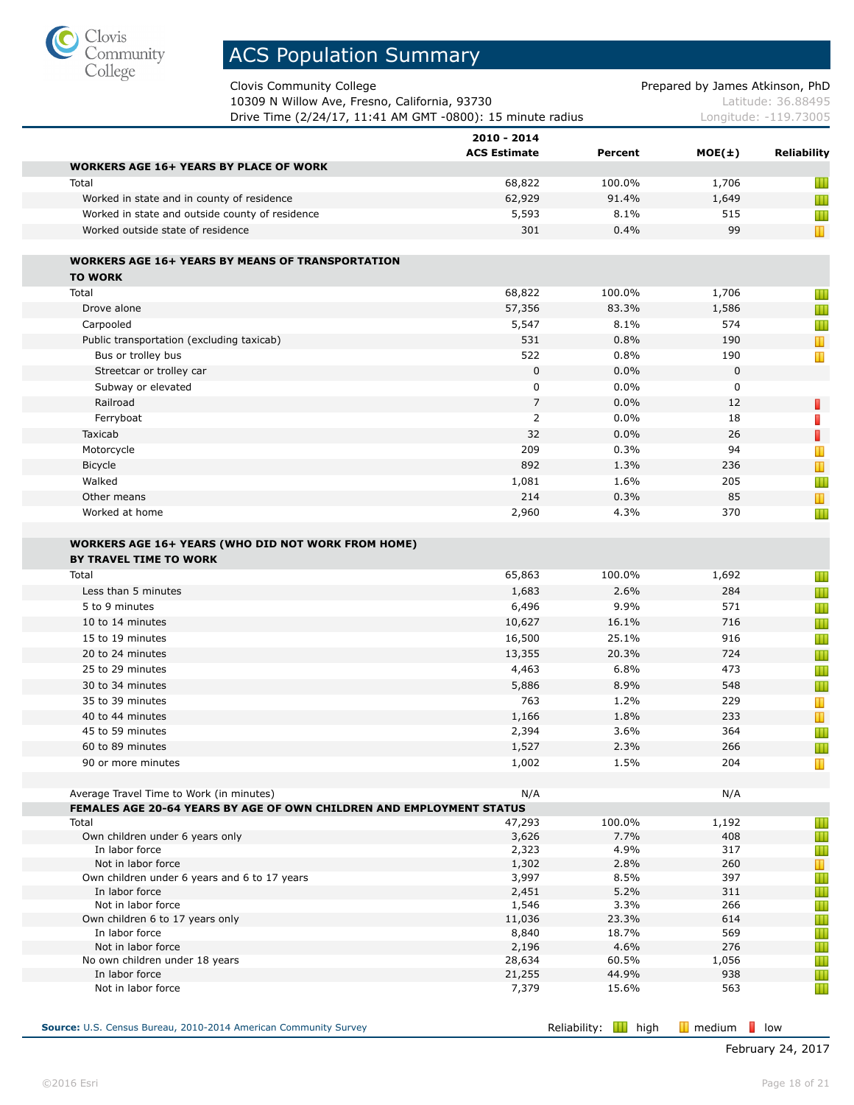

Clovis Community College **Prepared by James Atkinson**, PhD

| 10309 N Willow Ave, Fresno, California, 93730              | Latitude: 36.88495    |
|------------------------------------------------------------|-----------------------|
| Drive Time (2/24/17, 11:41 AM GMT -0800): 15 minute radius | Longitude: -119.73005 |

|                                                                                            | 2010 - 2014<br><b>ACS Estimate</b> | Percent        | $MOE(\pm)$  | <b>Reliability</b> |
|--------------------------------------------------------------------------------------------|------------------------------------|----------------|-------------|--------------------|
| <b>WORKERS AGE 16+ YEARS BY PLACE OF WORK</b>                                              |                                    |                |             |                    |
| Total                                                                                      | 68,822                             | 100.0%         | 1,706       | Ш                  |
| Worked in state and in county of residence                                                 | 62,929                             | 91.4%          | 1,649       | Ш                  |
| Worked in state and outside county of residence                                            | 5,593                              | 8.1%           | 515         | Ш                  |
| Worked outside state of residence                                                          | 301                                | 0.4%           | 99          | $\mathbb T$        |
| <b>WORKERS AGE 16+ YEARS BY MEANS OF TRANSPORTATION</b>                                    |                                    |                |             |                    |
| <b>TO WORK</b>                                                                             |                                    |                |             |                    |
| Total                                                                                      | 68,822                             | 100.0%         | 1,706       | Ш                  |
| Drove alone                                                                                | 57,356                             | 83.3%          | 1,586       | Ш                  |
| Carpooled                                                                                  | 5,547                              | 8.1%           | 574         | Ш                  |
| Public transportation (excluding taxicab)                                                  | 531                                | 0.8%           | 190         | T                  |
| Bus or trolley bus                                                                         | 522                                | 0.8%           | 190         | T                  |
| Streetcar or trolley car                                                                   | $\mathbf 0$                        | 0.0%           | $\mathbf 0$ |                    |
| Subway or elevated                                                                         | $\mathbf 0$                        | 0.0%           | 0           |                    |
| Railroad                                                                                   | $\overline{7}$                     | 0.0%           | 12          | Π                  |
| Ferryboat                                                                                  | 2                                  | 0.0%           | 18          | П                  |
| Taxicab                                                                                    | 32                                 | 0.0%           | 26          | Π                  |
| Motorcycle                                                                                 | 209                                | 0.3%           | 94          | Т                  |
| Bicycle                                                                                    | 892                                | 1.3%           | 236         | Т                  |
| Walked                                                                                     | 1,081                              | 1.6%           | 205         | Ш                  |
| Other means                                                                                | 214                                | 0.3%           | 85          | Т                  |
| Worked at home                                                                             | 2,960                              | 4.3%           | 370         | Ш                  |
| <b>WORKERS AGE 16+ YEARS (WHO DID NOT WORK FROM HOME)</b><br><b>BY TRAVEL TIME TO WORK</b> |                                    |                |             |                    |
| Total                                                                                      | 65,863                             | 100.0%         | 1,692       | Ш                  |
| Less than 5 minutes                                                                        | 1,683                              | 2.6%           | 284         | Ш                  |
| 5 to 9 minutes                                                                             | 6,496                              | 9.9%           | 571         | Ш                  |
| 10 to 14 minutes                                                                           | 10,627                             | 16.1%          | 716         | Ш                  |
| 15 to 19 minutes                                                                           | 16,500                             | 25.1%          | 916         | Ш                  |
| 20 to 24 minutes                                                                           | 13,355                             | 20.3%          | 724         | Ш                  |
| 25 to 29 minutes                                                                           | 4,463                              | 6.8%           | 473         | Ш                  |
| 30 to 34 minutes                                                                           | 5,886                              | 8.9%           | 548         | Ш                  |
| 35 to 39 minutes                                                                           | 763                                | 1.2%           | 229         | Т                  |
| 40 to 44 minutes                                                                           | 1,166                              | 1.8%           | 233         | Т                  |
| 45 to 59 minutes                                                                           | 2,394                              | 3.6%           | 364         | Ш                  |
| 60 to 89 minutes                                                                           | 1,527                              | 2.3%           | 266         | Ш                  |
| 90 or more minutes                                                                         | 1,002                              | 1.5%           | 204         | T                  |
| Average Travel Time to Work (in minutes)                                                   | N/A                                |                | N/A         |                    |
| FEMALES AGE 20-64 YEARS BY AGE OF OWN CHILDREN AND EMPLOYMENT STATUS                       |                                    |                |             |                    |
| Total                                                                                      | 47,293                             | 100.0%         | 1,192       | Ш                  |
| Own children under 6 years only                                                            | 3,626                              | 7.7%           | 408         | Ш                  |
| In labor force                                                                             | 2,323                              | 4.9%           | 317         | Ш                  |
| Not in labor force                                                                         | 1,302                              | 2.8%           | 260         | $\mathbb T$        |
| Own children under 6 years and 6 to 17 years                                               | 3,997                              | 8.5%           | 397         | Ш                  |
| In labor force                                                                             | 2,451                              | 5.2%           | 311         | Ш                  |
| Not in labor force                                                                         | 1,546                              | 3.3%           | 266         | Ш                  |
| Own children 6 to 17 years only<br>In labor force                                          | 11,036<br>8,840                    | 23.3%<br>18.7% | 614<br>569  | Ш<br>Ш             |
| Not in labor force                                                                         | 2,196                              | 4.6%           | 276         | Ш                  |
| No own children under 18 years                                                             | 28,634                             | 60.5%          | 1,056       | Ш                  |
|                                                                                            |                                    | 44.9%          | 938         | Ш                  |
| In labor force                                                                             | 21,255                             |                |             |                    |

**Source:** U.S. Census Bureau, 2010-2014 American Community Survey **Reliability:** Reliability: **II** high **II** medium **low**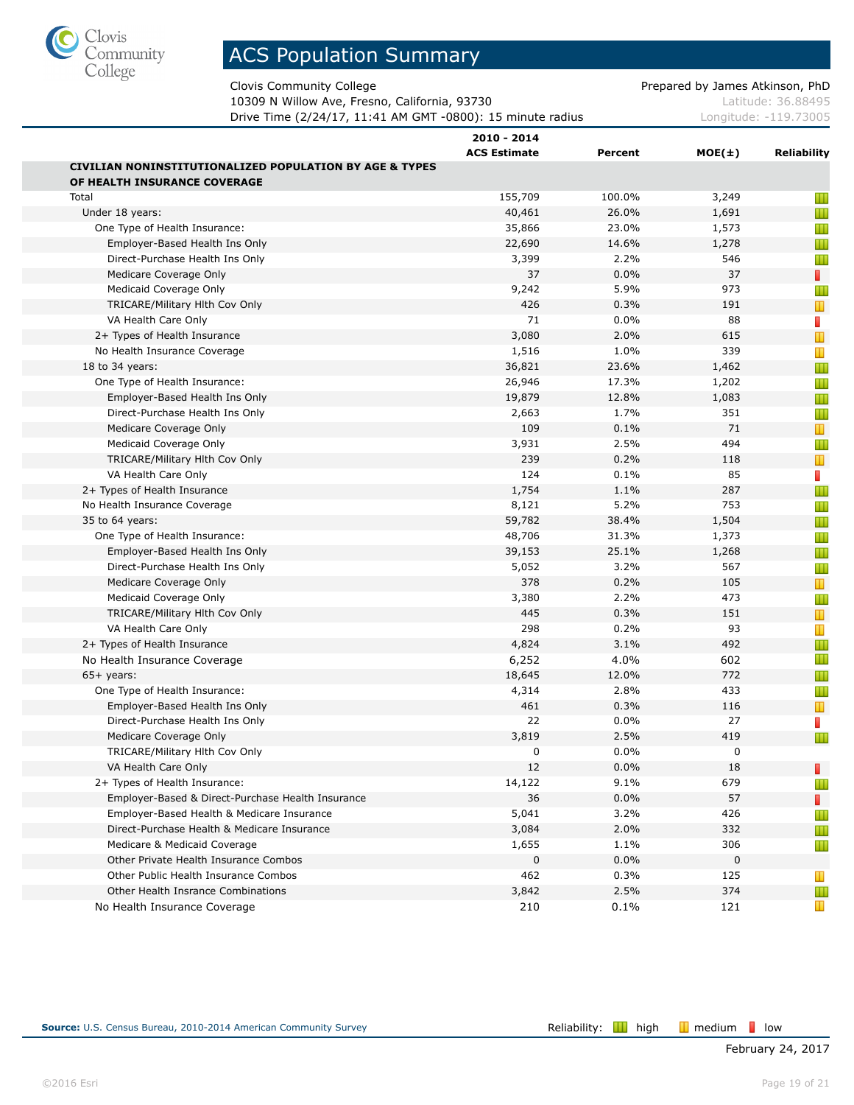

Clovis Community College **Prepared by James Atkinson, PhD** 

10309 N Willow Ave, Fresno, California, 93730 Material Society Australian Material Accords Latitude: 36.88495 Drive Time (2/24/17, 11:41 AM GMT -0800): 15 minute radius Longitude: -119.73005

|                                                                    | 2010 - 2014         |         |            |                |
|--------------------------------------------------------------------|---------------------|---------|------------|----------------|
|                                                                    | <b>ACS Estimate</b> | Percent | $MOE(\pm)$ | Reliability    |
| <b>CIVILIAN NONINSTITUTIONALIZED POPULATION BY AGE &amp; TYPES</b> |                     |         |            |                |
| OF HEALTH INSURANCE COVERAGE                                       |                     |         |            |                |
| Total                                                              | 155,709             | 100.0%  | 3,249      | Ш              |
| Under 18 years:                                                    | 40,461              | 26.0%   | 1,691      | Ш              |
| One Type of Health Insurance:                                      | 35,866              | 23.0%   | 1,573      | Ш              |
| Employer-Based Health Ins Only                                     | 22,690              | 14.6%   | 1,278      | Ш              |
| Direct-Purchase Health Ins Only                                    | 3,399               | 2.2%    | 546        | Ш              |
| Medicare Coverage Only                                             | 37                  | 0.0%    | 37         | П              |
| Medicaid Coverage Only                                             | 9,242               | 5.9%    | 973        | Ш              |
| TRICARE/Military Hith Cov Only                                     | 426                 | 0.3%    | 191        | Т              |
| VA Health Care Only                                                | 71                  | 0.0%    | 88         | F              |
| 2+ Types of Health Insurance                                       | 3,080               | 2.0%    | 615        | $\mathbb T$    |
| No Health Insurance Coverage                                       | 1,516               | 1.0%    | 339        | Ш              |
| 18 to 34 years:                                                    | 36,821              | 23.6%   | 1,462      | Ш              |
| One Type of Health Insurance:                                      | 26,946              | 17.3%   | 1,202      | Ш              |
| Employer-Based Health Ins Only                                     | 19,879              | 12.8%   | 1,083      | Ш              |
| Direct-Purchase Health Ins Only                                    | 2,663               | 1.7%    | 351        | Ш              |
| Medicare Coverage Only                                             | 109                 | 0.1%    | 71         | т              |
| Medicaid Coverage Only                                             | 3,931               | 2.5%    | 494        | Ш              |
| TRICARE/Military Hith Cov Only                                     | 239                 | 0.2%    | 118        | T              |
| VA Health Care Only                                                | 124                 | 0.1%    | 85         | П              |
| 2+ Types of Health Insurance                                       | 1,754               | 1.1%    | 287        | Ш              |
| No Health Insurance Coverage                                       | 8,121               | 5.2%    | 753        | Ш              |
| 35 to 64 years:                                                    | 59,782              | 38.4%   | 1,504      | Ш              |
| One Type of Health Insurance:                                      | 48,706              | 31.3%   | 1,373      | Ш              |
| Employer-Based Health Ins Only                                     | 39,153              | 25.1%   | 1,268      | Ш              |
| Direct-Purchase Health Ins Only                                    | 5,052               | 3.2%    | 567        | Ш              |
| Medicare Coverage Only                                             | 378                 | 0.2%    | 105        | $\blacksquare$ |
| Medicaid Coverage Only                                             | 3,380               | 2.2%    | 473        | Ш              |
| TRICARE/Military Hith Cov Only                                     | 445                 | 0.3%    | 151        | Т              |
| VA Health Care Only                                                | 298                 | 0.2%    | 93         | Т              |
| 2+ Types of Health Insurance                                       | 4,824               | 3.1%    | 492        | Ш              |
| No Health Insurance Coverage                                       | 6,252               | 4.0%    | 602        | Ш              |
| $65+$ years:                                                       | 18,645              | 12.0%   | 772        | Ш              |
| One Type of Health Insurance:                                      | 4,314               | 2.8%    | 433        | Ш              |
| Employer-Based Health Ins Only                                     | 461                 | 0.3%    | 116        | Т              |
| Direct-Purchase Health Ins Only                                    | 22                  | 0.0%    | 27         | П              |
| Medicare Coverage Only                                             | 3,819               | 2.5%    | 419        | Ш              |
| TRICARE/Military Hith Cov Only                                     | 0                   | 0.0%    | 0          |                |
| VA Health Care Only                                                | 12                  | 0.0%    | 18         | п              |
| 2+ Types of Health Insurance:                                      | 14,122              | 9.1%    | 679        |                |
| Employer-Based & Direct-Purchase Health Insurance                  | 36                  | 0.0%    | 57         | П              |
| Employer-Based Health & Medicare Insurance                         | 5,041               | 3.2%    | 426        |                |
| Direct-Purchase Health & Medicare Insurance                        | 3,084               | 2.0%    | 332        | Ш              |
| Medicare & Medicaid Coverage                                       | 1,655               | 1.1%    | 306        | Ш              |
| Other Private Health Insurance Combos                              | 0                   | 0.0%    | 0          |                |
| Other Public Health Insurance Combos                               | 462                 | 0.3%    | 125        | ш              |
| Other Health Insrance Combinations                                 | 3,842               | 2.5%    | 374        | Ш              |
| No Health Insurance Coverage                                       | 210                 | 0.1%    | 121        | Ш              |
|                                                                    |                     |         |            |                |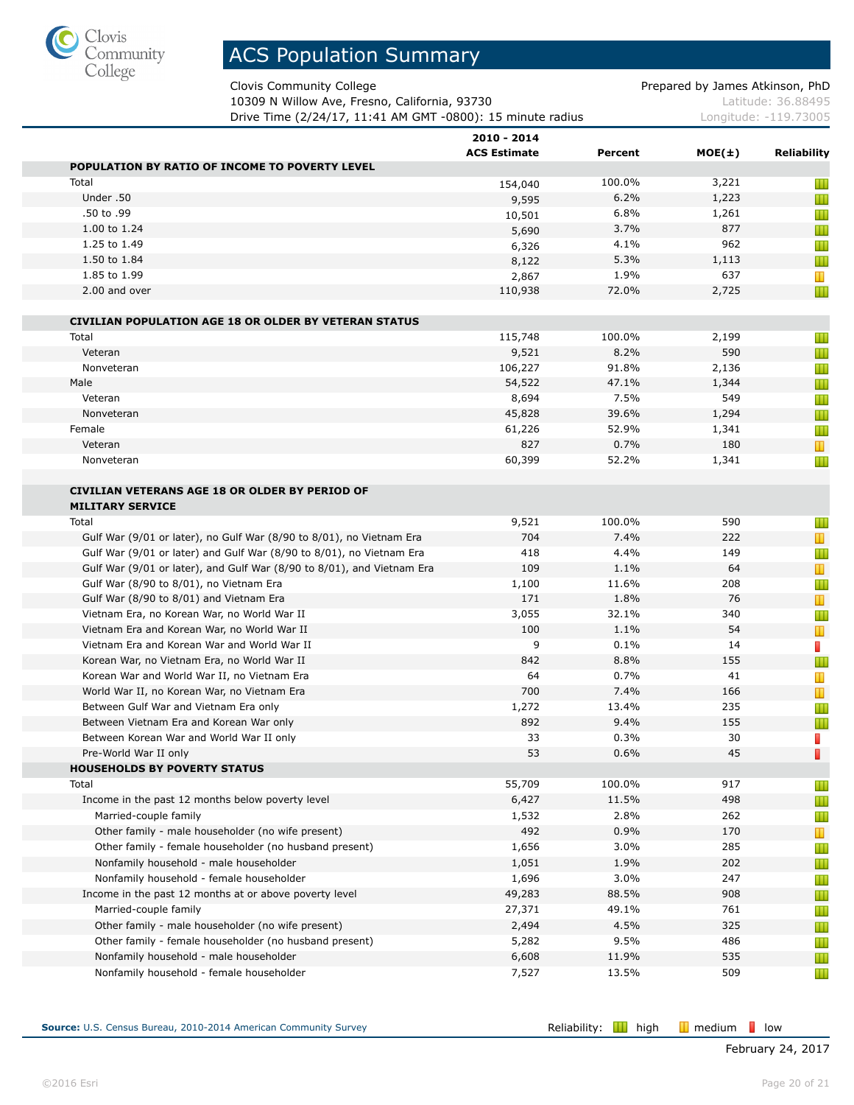

Clovis Community College **Prepared by James Atkinson, PhD** 

10309 N Willow Ave, Fresno, California, 93730 Material Society Australian Material Accords Latitude: 36.88495 Drive Time (2/24/17, 11:41 AM GMT -0800): 15 minute radius Longitude: -119.73005

|                                                                        | 2010 - 2014         |         |        |                                |
|------------------------------------------------------------------------|---------------------|---------|--------|--------------------------------|
|                                                                        | <b>ACS Estimate</b> | Percent | MOE(±) | <b>Reliability</b>             |
| POPULATION BY RATIO OF INCOME TO POVERTY LEVEL                         |                     |         |        |                                |
| Total                                                                  | 154,040             | 100.0%  | 3,221  | Ш                              |
| Under .50                                                              | 9,595               | 6.2%    | 1,223  | Ш                              |
| .50 to .99                                                             | 10,501              | 6.8%    | 1,261  | Ш                              |
| 1.00 to 1.24                                                           | 5,690               | 3.7%    | 877    | Ш                              |
| 1.25 to 1.49                                                           | 6,326               | 4.1%    | 962    | Ш                              |
| 1.50 to 1.84                                                           | 8,122               | 5.3%    | 1,113  | Ш                              |
| 1.85 to 1.99                                                           | 2,867               | 1.9%    | 637    | Ш                              |
| 2.00 and over                                                          | 110,938             | 72.0%   | 2,725  | Ш                              |
| <b>CIVILIAN POPULATION AGE 18 OR OLDER BY VETERAN STATUS</b>           |                     |         |        |                                |
| Total                                                                  | 115,748             | 100.0%  | 2,199  | Ш                              |
| Veteran                                                                | 9,521               | 8.2%    | 590    | Ш                              |
| Nonveteran                                                             | 106,227             | 91.8%   | 2,136  | Ш                              |
| Male                                                                   | 54,522              | 47.1%   | 1,344  | Ш                              |
| Veteran                                                                | 8,694               | 7.5%    | 549    | Ш                              |
| Nonveteran                                                             | 45,828              | 39.6%   | 1,294  | Ш                              |
| Female                                                                 | 61,226              | 52.9%   | 1,341  | Ш                              |
| Veteran                                                                | 827                 | 0.7%    | 180    | Т                              |
| Nonveteran                                                             | 60,399              | 52.2%   | 1,341  | Ш                              |
|                                                                        |                     |         |        |                                |
| <b>CIVILIAN VETERANS AGE 18 OR OLDER BY PERIOD OF</b>                  |                     |         |        |                                |
| <b>MILITARY SERVICE</b>                                                |                     |         |        |                                |
| Total                                                                  | 9,521               | 100.0%  | 590    | Ш                              |
| Gulf War (9/01 or later), no Gulf War (8/90 to 8/01), no Vietnam Era   | 704                 | 7.4%    | 222    | $\mathbf{\mathbf{\mathsf{u}}}$ |
| Gulf War (9/01 or later) and Gulf War (8/90 to 8/01), no Vietnam Era   | 418                 | 4.4%    | 149    | Ш                              |
| Gulf War (9/01 or later), and Gulf War (8/90 to 8/01), and Vietnam Era | 109                 | 1.1%    | 64     | $\mathbf T$                    |
| Gulf War (8/90 to 8/01), no Vietnam Era                                | 1,100               | 11.6%   | 208    | Ш                              |
| Gulf War (8/90 to 8/01) and Vietnam Era                                | 171                 | 1.8%    | 76     | T                              |
| Vietnam Era, no Korean War, no World War II                            | 3,055               | 32.1%   | 340    | Ш                              |
| Vietnam Era and Korean War, no World War II                            | 100                 | 1.1%    | 54     | T                              |
| Vietnam Era and Korean War and World War II                            | 9                   | 0.1%    | 14     | П                              |
| Korean War, no Vietnam Era, no World War II                            | 842                 | 8.8%    | 155    | Ш                              |
| Korean War and World War II, no Vietnam Era                            | 64                  | 0.7%    | 41     | Ш                              |
| World War II, no Korean War, no Vietnam Era                            | 700                 | 7.4%    | 166    | T                              |
| Between Gulf War and Vietnam Era only                                  | 1,272               | 13.4%   | 235    | Ш                              |
| Between Vietnam Era and Korean War only                                | 892                 | 9.4%    | 155    | Ш                              |
| Between Korean War and World War II only                               | 33                  | 0.3%    | 30     | D                              |
| Pre-World War II only                                                  | 53                  | 0.6%    | 45     | I.                             |
| <b>HOUSEHOLDS BY POVERTY STATUS</b>                                    |                     |         |        |                                |
| Total                                                                  | 55,709              | 100.0%  | 917    | Ш                              |
| Income in the past 12 months below poverty level                       | 6,427               | 11.5%   | 498    | Ш                              |
| Married-couple family                                                  | 1,532               | 2.8%    | 262    | Ш                              |
| Other family - male householder (no wife present)                      | 492                 | 0.9%    | 170    | $\mathbf T$                    |
| Other family - female householder (no husband present)                 | 1,656               | 3.0%    | 285    | Ш                              |
| Nonfamily household - male householder                                 | 1,051               | 1.9%    | 202    | Ш                              |
| Nonfamily household - female householder                               | 1,696               | 3.0%    | 247    | Ш                              |
| Income in the past 12 months at or above poverty level                 | 49,283              | 88.5%   | 908    | Ш                              |
| Married-couple family                                                  | 27,371              | 49.1%   | 761    | Ш                              |
| Other family - male householder (no wife present)                      | 2,494               | 4.5%    | 325    | Ш                              |
| Other family - female householder (no husband present)                 | 5,282               | 9.5%    | 486    | Ш                              |
| Nonfamily household - male householder                                 | 6,608               | 11.9%   | 535    | Ш                              |
| Nonfamily household - female householder                               | 7,527               | 13.5%   | 509    | Ш                              |
|                                                                        |                     |         |        |                                |